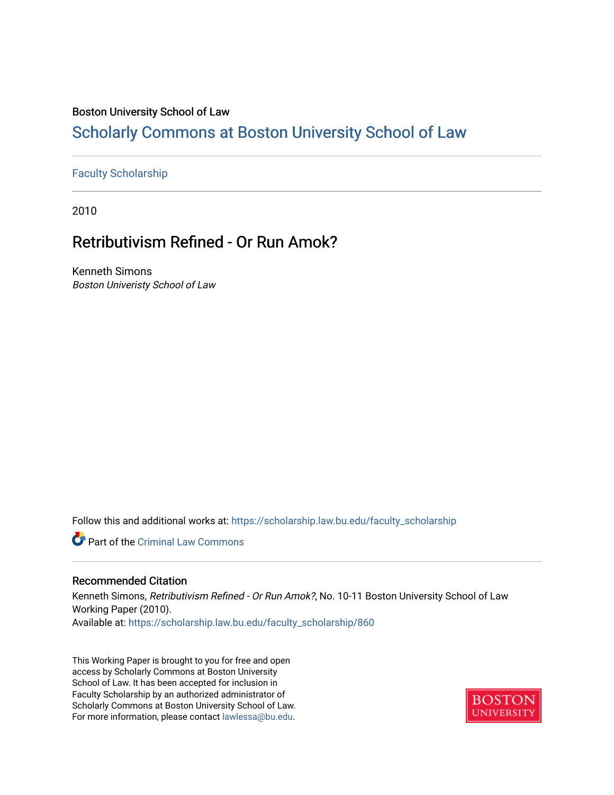## Boston University School of Law

## [Scholarly Commons at Boston University School of Law](https://scholarship.law.bu.edu/)

## [Faculty Scholarship](https://scholarship.law.bu.edu/faculty_scholarship)

2010

# Retributivism Refined - Or Run Amok?

Kenneth Simons Boston Univeristy School of Law

Follow this and additional works at: [https://scholarship.law.bu.edu/faculty\\_scholarship](https://scholarship.law.bu.edu/faculty_scholarship?utm_source=scholarship.law.bu.edu%2Ffaculty_scholarship%2F860&utm_medium=PDF&utm_campaign=PDFCoverPages)

Part of the [Criminal Law Commons](http://network.bepress.com/hgg/discipline/912?utm_source=scholarship.law.bu.edu%2Ffaculty_scholarship%2F860&utm_medium=PDF&utm_campaign=PDFCoverPages) 

### Recommended Citation

Kenneth Simons, Retributivism Refined - Or Run Amok?, No. 10-11 Boston University School of Law Working Paper (2010). Available at: [https://scholarship.law.bu.edu/faculty\\_scholarship/860](https://scholarship.law.bu.edu/faculty_scholarship/860?utm_source=scholarship.law.bu.edu%2Ffaculty_scholarship%2F860&utm_medium=PDF&utm_campaign=PDFCoverPages) 

This Working Paper is brought to you for free and open access by Scholarly Commons at Boston University School of Law. It has been accepted for inclusion in Faculty Scholarship by an authorized administrator of Scholarly Commons at Boston University School of Law. For more information, please contact [lawlessa@bu.edu](mailto:lawlessa@bu.edu).

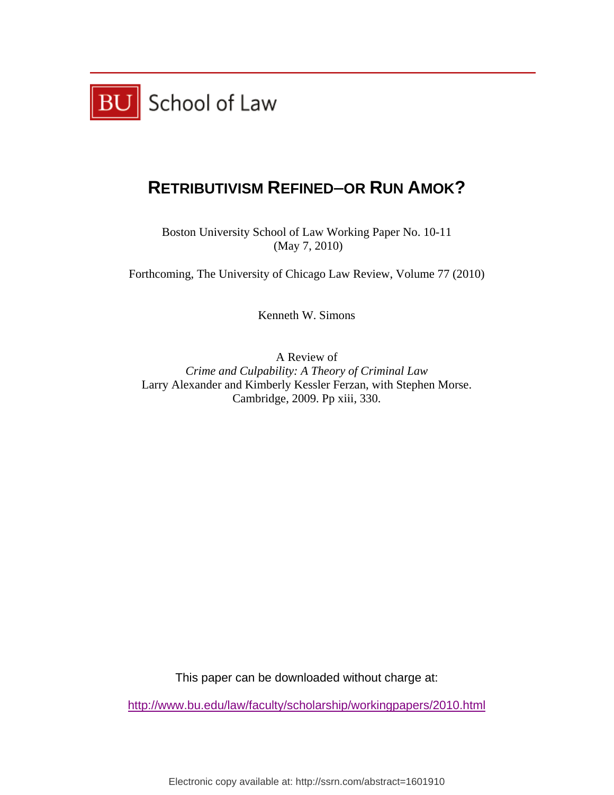

# **RETRIBUTIVISM REFINED-OR RUN AMOK?**

Boston University School of Law Working Paper No. 10-11 (May 7, 2010)

Forthcoming, The University of Chicago Law Review, Volume 77 (2010)

Kenneth W. Simons

A Review of *Crime and Culpability: A Theory of Criminal Law*  Larry Alexander and Kimberly Kessler Ferzan, with Stephen Morse. Cambridge, 2009. Pp xiii, 330.

This paper can be downloaded without charge at:

http://www.bu.edu/law/faculty/scholarship/workingpapers/2010.html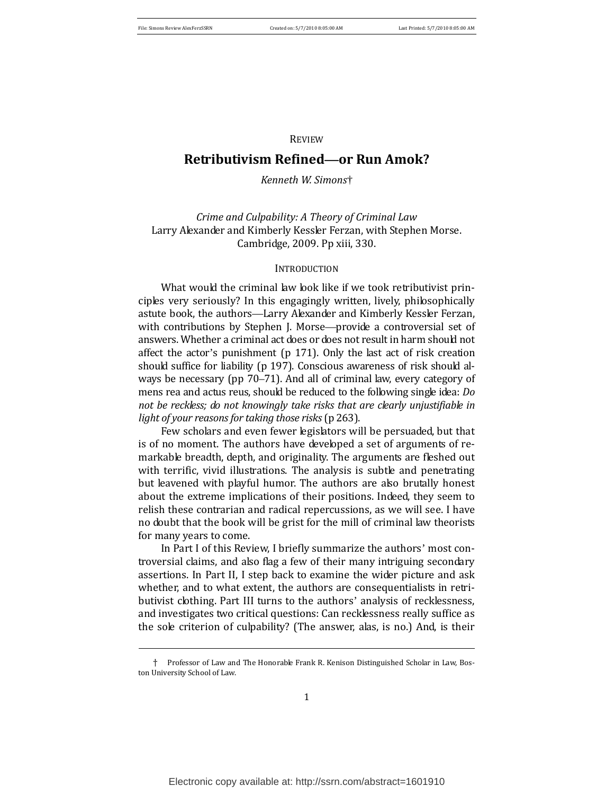#### REVIEW

## **Retributivism Refined—or Run Amok?**

*Kenneth W. Simons*†

*Crime and Culpability: A Theory of Criminal Law* Larry Alexander and Kimberly Kessler Ferzan, with Stephen Morse. Cambridge, 2009. Pp xiii, 330.

#### **INTRODUCTION**

What would the criminal law look like if we took retributivist principles very seriously? In this engagingly written, lively, philosophically astute book, the authors—Larry Alexander and Kimberly Kessler Ferzan, with contributions by Stephen J. Morse—provide a controversial set of answers. Whether a criminal act does or does not result in harm should not affect the actor's punishment (p 171). Only the last act of risk creation should suffice for liability (p 197). Conscious awareness of risk should always be necessary (pp 70–71). And all of criminal law, every category of mens rea and actus reus, should be reduced to the following single idea: *Do not be reckless; do not knowingly take risks that are clearly unjustifiable in light of your reasonsfor taking those risks* (p 263).

Few scholars and even fewer legislators will be persuaded, but that is of no moment. The authors have developed a set of arguments of re‐ markable breadth, depth, and originality. The arguments are fleshed out with terrific, vivid illustrations. The analysis is subtle and penetrating but leavened with playful humor. The authors are also brutally honest about the extreme implications of their positions. Indeed, they seem to relish these contrarian and radical repercussions, as we will see. I have no doubt that the book will be grist for the mill of criminal law theorists for many years to come.

In Part I of this Review, I briefly summarize the authors' most controversial claims, and also flag a few of their many intriguing secondary assertions. In Part II, I step back to examine the wider picture and ask whether, and to what extent, the authors are consequentialists in retributivist clothing. Part III turns to the authors' analysis of recklessness, and investigates two critical questions: Can recklessness really suffice as the sole criterion of culpability? (The answer, alas, is no.) And, is their

<sup>†</sup> Professor of Law and The Honorable Frank R. Kenison Distinguished Scholar in Law, Bos‐ ton University School of Law.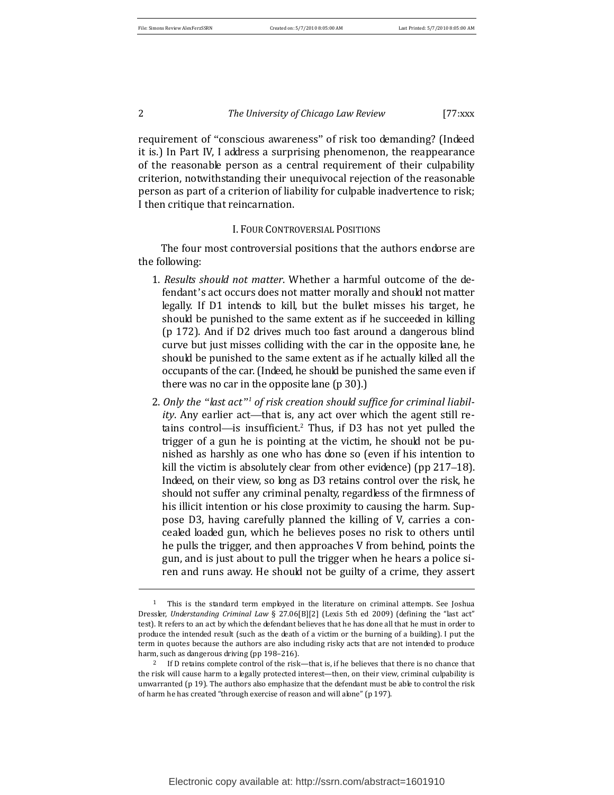requirement of "conscious awareness" of risk too demanding? (Indeed it is.) In Part IV, I address a surprising phenomenon, the reappearance of the reasonable person as a central requirement of their culpability criterion, notwithstanding their unequivocal rejection of the reasonable person as part of a criterion of liability for culpable inadvertence to risk; I then critique that reincarnation.

#### I. FOUR CONTROVERSIAL POSITIONS

The four most controversial positions that the authors endorse are the following:

- 1. *Results should not matter*. Whether a harmful outcome of the de‐ fendant's act occurs does not matter morally and should not matter legally. If D1 intends to kill, but the bullet misses his target, he should be punished to the same extent as if he succeeded in killing (p 172). And if D2 drives much too fast around a dangerous blind curve but just misses colliding with the car in the opposite lane, he should be punished to the same extent as if he actually killed all the occupants of the car. (Indeed, he should be punished the same even if there was no car in the opposite lane (p 30).)
- 2. *Only the "last act"<sup>1</sup> of risk creation should suffice for criminal liability*. Any earlier act—that is, any act over which the agent still retains control—is insufficient.<sup>2</sup> Thus, if  $D3$  has not yet pulled the trigger of a gun he is pointing at the victim, he should not be punished as harshly as one who has done so (even if his intention to kill the victim is absolutely clear from other evidence) (pp 217–18). Indeed, on their view, so long as D3 retains control over the risk, he should not suffer any criminal penalty, regardless of the firmness of his illicit intention or his close proximity to causing the harm. Suppose D3, having carefully planned the killing of V, carries a con‐ cealed loaded gun, which he believes poses no risk to others until he pulls the trigger, and then approaches V from behind, points the gun, and is just about to pull the trigger when he hears a police si‐ ren and runs away. He should not be guilty of a crime, they assert

<sup>&</sup>lt;sup>1</sup> This is the standard term employed in the literature on criminal attempts. See Joshua Dressler, *Understanding Criminal Law* § 27.06[B][2] (Lexis 5th ed 2009) (defining the "last act" test). It refers to an act by which the defendant believes that he has done all that he must in order to produce the intended result (such as the death of a victim or the burning of a building). I put the term in quotes because the authors are also including risky acts that are not intended to produce harm, such as dangerous driving (pp 198–216).

<sup>&</sup>lt;sup>2</sup> If D retains complete control of the risk—that is, if he believes that there is no chance that the risk will cause harm to a legally protected interest-then, on their view, criminal culpability is unwarranted (p 19). The authors also emphasize that the defendant must be able to control the risk of harm he has created "through exercise of reason and will alone" (p 197).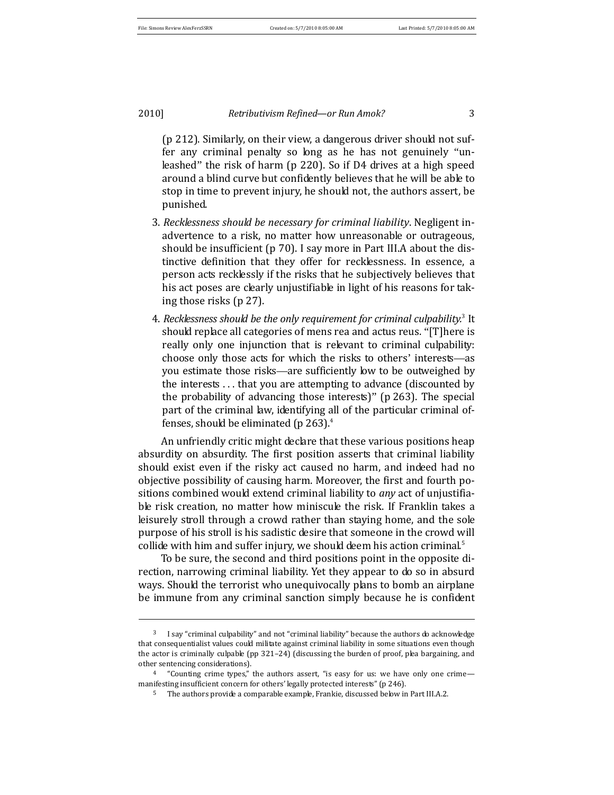(p 212). Similarly, on their view, a dangerous driver should not suf‐ fer any criminal penalty so long as he has not genuinely "unleashed" the risk of harm (p 220). So if D4 drives at a high speed around a blind curve but confidently believes that he will be able to stop in time to prevent injury, he should not, the authors assert, be punished.

- 3. *Recklessness should be necessary for criminal liability*. Negligent in‐ advertence to a risk, no matter how unreasonable or outrageous, should be insufficient (p 70). I say more in Part III.A about the dis‐ tinctive definition that they offer for recklessness. In essence, a person acts recklessly if the risks that he subjectively believes that his act poses are clearly unjustifiable in light of his reasons for taking those risks (p 27).
- 4. *Recklessness should be the only requirement for criminal culpability.*<sup>3</sup> It should replace all categories of mens rea and actus reus. "[T]here is really only one injunction that is relevant to criminal culpability: choose only those acts for which the risks to others' interests—as you estimate those risks—are sufficiently low to be outweighed by the interests . . . that you are attempting to advance (discounted by the probability of advancing those interests)" (p 263). The special part of the criminal law, identifying all of the particular criminal of‐ fenses, should be eliminated (p  $263$ ).<sup>4</sup>

An unfriendly critic might declare that these various positions heap absurdity on absurdity. The first position asserts that criminal liability should exist even if the risky act caused no harm, and indeed had no objective possibility of causing harm. Moreover, the first and fourth po‐ sitions combined would extend criminal liability to *any* act of unjustifia‐ ble risk creation, no matter how miniscule the risk. If Franklin takes a leisurely stroll through a crowd rather than staying home, and the sole purpose of his stroll is his sadistic desire that someone in the crowd will collide with him and suffer injury, we should deem his action criminal.<sup>5</sup>

To be sure, the second and third positions point in the opposite di‐ rection, narrowing criminal liability. Yet they appear to do so in absurd ways. Should the terrorist who unequivocally plans to bomb an airplane be immune from any criminal sanction simply because he is confident

I say "criminal culpability" and not "criminal liability" because the authors do acknowledge that consequentialist values could militate against criminal liability in some situations even though the actor is criminally culpable (pp 321–24) (discussing the burden of proof, plea bargaining, and other sentencing considerations).

<sup>&</sup>quot;Counting crime types," the authors assert, "is easy for us: we have only one crimemanifesting insufficient concern for others' legally protected interests" (p 246).

<sup>5</sup> The authors provide a comparable example, Frankie, discussed below in Part III.A.2.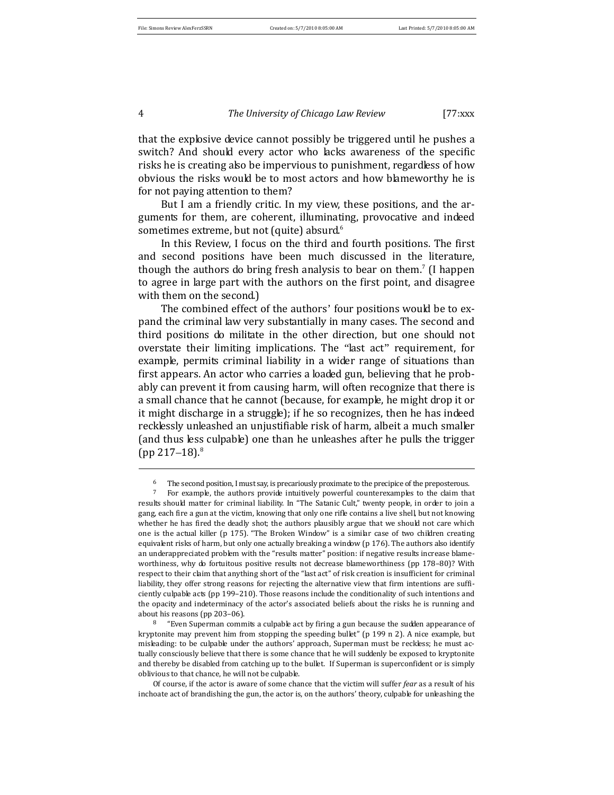that the explosive device cannot possibly be triggered until he pushes a switch? And should every actor who lacks awareness of the specific risks he is creating also be impervious to punishment, regardless of how obvious the risks would be to most actors and how blameworthy he is for not paying attention to them?

But I am a friendly critic. In my view, these positions, and the arguments for them, are coherent, illuminating, provocative and indeed sometimes extreme, but not (quite) absurd<sup>6</sup>

In this Review, I focus on the third and fourth positions. The first and second positions have been much discussed in the literature, though the authors do bring fresh analysis to bear on them.<sup>7</sup> (I happen to agree in large part with the authors on the first point, and disagree with them on the second.)

The combined effect of the authors' four positions would be to ex‐ pand the criminal law very substantially in many cases. The second and third positions do militate in the other direction, but one should not overstate their limiting implications. The "last act" requirement, for example, permits criminal liability in a wider range of situations than first appears. An actor who carries a loaded gun, believing that he probably can prevent it from causing harm, will often recognize that there is a small chance that he cannot (because, for example, he might drop it or it might discharge in a struggle); if he so recognizes, then he has indeed recklessly unleashed an unjustifiable risk of harm, albeit a much smaller (and thus less culpable) one than he unleashes after he pulls the trigger (pp 217–18).<sup>8</sup>

<sup>8</sup> "Even Superman commits a culpable act by firing a gun because the sudden appearance of kryptonite may prevent him from stopping the speeding bullet" (p 199 n 2). A nice example, but misleading: to be culpable under the authors' approach, Superman must be reckless; he must actually consciously believe that there is some chance that he will suddenly be exposed to kryptonite and thereby be disabled from catching up to the bullet. If Superman is superconfident or is simply oblivious to that chance, he will not be culpable.

Of course, if the actor is aware of some chance that the victim will suffer *fear* as a result of his inchoate act of brandishing the gun, the actor is, on the authors' theory, culpable for unleashing the

 <sup>6</sup> The second position, I must say, is precariously proximate to the precipice of the preposterous.<br><sup>7</sup> For example, the authors provide infutitively powerful counterexamples to the claim that

For example, the authors provide intuitively powerful counterexamples to the claim that results should matter for criminal liability. In "The Satanic Cult," twenty people, in order to join a gang, each fire a gun at the victim, knowing that only one rifle contains a live shell, but not knowing whether he has fired the deadly shot; the authors plausibly argue that we should not care which one is the actual killer (p 175). "The Broken Window" is a similar case of two children creating equivalent risks of harm, but only one actually breaking a window (p 176). The authors also identify an underappreciated problem with the "results matter" position: if negative results increase blameworthiness, why do fortuitous positive results not decrease blameworthiness (pp 178-80)? With respect to their claim that anything short of the "last act" of risk creation is insufficient for criminal liability, they offer strong reasons for rejecting the alternative view that firm intentions are sufficiently culpable acts (pp 199–210). Those reasons include the conditionality of such intentions and the opacity and indeterminacy of the actor's associated beliefs about the risks he is running and about his reasons (pp 203–06).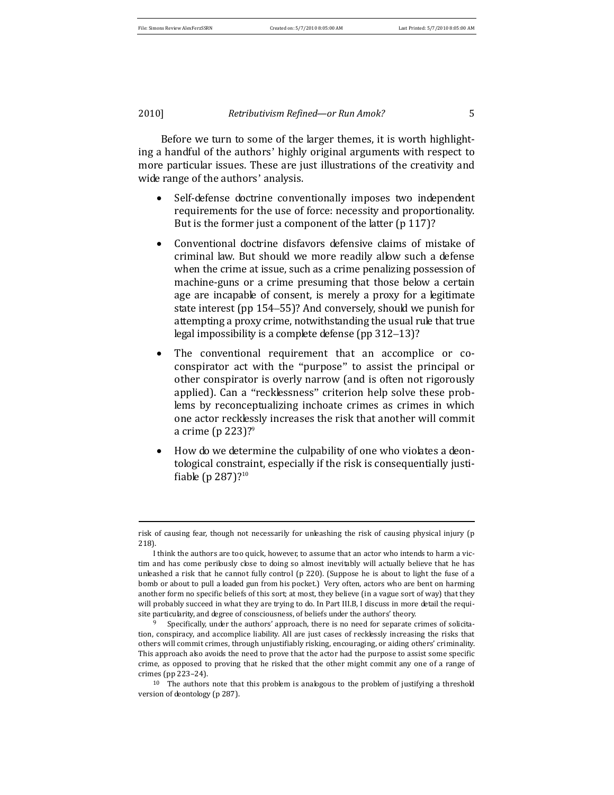Before we turn to some of the larger themes, it is worth highlighting a handful of the authors' highly original arguments with respect to more particular issues. These are just illustrations of the creativity and wide range of the authors' analysis.

- Self-defense doctrine conventionally imposes two independent requirements for the use of force: necessity and proportionality. But is the former just a component of the latter (p 117)?
- Conventional doctrine disfavors defensive claims of mistake of criminal law. But should we more readily allow such a defense when the crime at issue, such as a crime penalizing possession of machine-guns or a crime presuming that those below a certain age are incapable of consent, is merely a proxy for a legitimate state interest (pp 154–55)? And conversely, should we punish for attempting a proxy crime, notwithstanding the usual rule that true legal impossibility is a complete defense (pp 312–13)?
- The conventional requirement that an accomplice or coconspirator act with the "purpose" to assist the principal or other conspirator is overly narrow (and is often not rigorously applied). Can a "recklessness" criterion help solve these problems by reconceptualizing inchoate crimes as crimes in which one actor recklessly increases the risk that another will commit a crime (p 223)?<sup>9</sup>
- How do we determine the culpability of one who violates a deon‐ tological constraint, especially if the risk is consequentially justi‐ fiable (p  $287$ )?<sup>10</sup>

risk of causing fear, though not necessarily for unleashing the risk of causing physical injury (p 218).

I think the authors are too quick, however, to assume that an actor who intends to harm a vic‐ tim and has come perilously close to doing so almost inevitably will actually believe that he has unleashed a risk that he cannot fully control (p 220). (Suppose he is about to light the fuse of a bomb or about to pull a baded gun from his pocket.) Very often, actors who are bent on harming another form no specific beliefs of this sort; at most, they believe (in a vague sort of way) that they will probably succeed in what they are trying to do. In Part III.B, I discuss in more detail the requisite particularity, and degree of consciousness, of beliefs under the authors' theory.

<sup>&</sup>lt;sup>9</sup> Specifically, under the authors' approach, there is no need for separate crimes of solicitation, conspiracy, and accomplice liability. All are just cases of recklessly increasing the risks that others will commit crimes, through unjustifiably risking, encouraging, or aiding others' criminality. This approach also avoids the need to prove that the actor had the purpose to assist some specific crime, as opposed to proving that he risked that the other might commit any one of a range of crimes (pp 223–24).

<sup>&</sup>lt;sup>10</sup> The authors note that this problem is analogous to the problem of justifying a threshold version of deontology (p 287).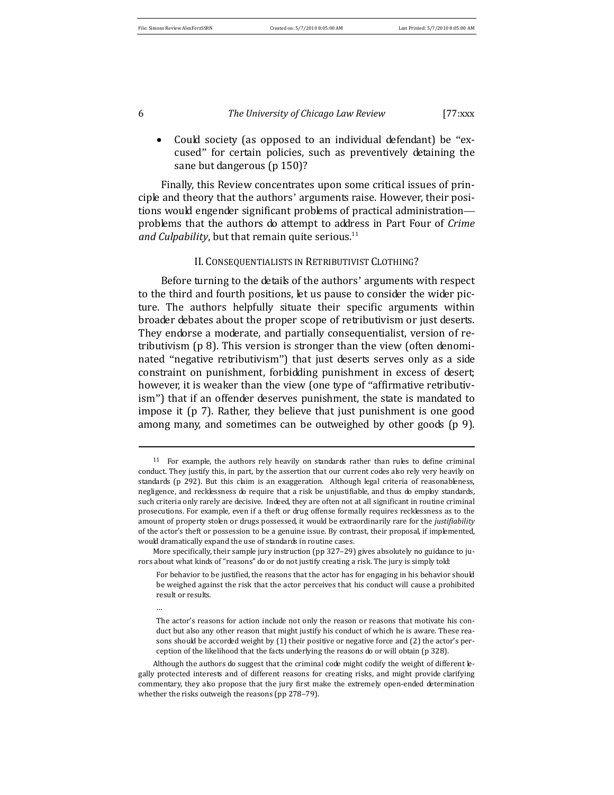• Could society (as opposed to an individual defendant) be "excused" for certain policies, such as preventively detaining the sane but dangerous (p 150)?

Finally, this Review concentrates upon some critical issues of prin‐ ciple and theory that the authors' arguments raise. However, their positions would engender significant problems of practical administration problems that the authors do attempt to address in Part Four of *Crime* and *Culpability*, but that remain quite serious.<sup>11</sup>

#### II. CONSEQUENTIALISTS IN RETRIBUTIVIST CLOTHING?

Before turning to the details of the authors' arguments with respect to the third and fourth positions, let us pause to consider the wider pic‐ ture. The authors helpfully situate their specific arguments within broader debates about the proper scope of retributivism or just deserts. They endorse a moderate, and partially consequentialist, version of re‐ tributivism (p 8). This version is stronger than the view (often denomi‐ nated "negative retributivism") that just deserts serves only as a side constraint on punishment, forbidding punishment in excess of desert; however, it is weaker than the view (one type of "affirmative retributivism") that if an offender deserves punishment, the state is mandated to impose it (p 7). Rather, they believe that just punishment is one good among many, and sometimes can be outweighed by other goods (p 9).

<u> 1989 - Andrea Santa Andrea Andrea Andrea Andrea Andrea Andrea Andrea Andrea Andrea Andrea Andrea Andrea Andr</u>

More specifically, their sample jury instruction (pp 327-29) gives absolutely no guidance to jurors about what kinds of "reasons" do or do not justify creating a risk. The jury is simply told:

 $11$  For example, the authors rely heavily on standards rather than rules to define criminal conduct. They justify this, in part, by the assertion that our current codes also rely very heavily on standards (p 292). But this claim is an exaggeration. Although legal criteria of reasonableness, negligence, and recklessness do require that a risk be unjustifiable, and thus do employ standards, such criteria only rarely are decisive. Indeed, they are often not at all significant in routine criminal prosecutions. For example, even if a theft or drug offense formally requires recklessness as to the amount of property stolen or drugs possessed, it would be extraordinarily rare for the *justifiability* of the actor's theft or possession to be a genuine issue. By contrast, their proposal, if implemented, would dramatically expand the use of standards in routine cases.

For behavior to be justified, the reasons that the actor has for engaging in his behavior should be weighed against the risk that the actor perceives that his conduct will cause a prohibited result or results.

<sup>…</sup> 

The actor's reasons for action include not only the reason or reasons that motivate his conduct but also any other reason that might justify his conduct of which he is aware. These reasons should be accorded weight by (1) their positive or negative force and (2) the actor's perception of the likelihood that the facts underlying the reasons do or will obtain (p 328).

Although the authors do suggest that the criminal code might codify the weight of different le‐ gally protected interests and of different reasons for creating risks, and might provide clarifying commentary, they also propose that the jury first make the extremely open-ended determination whether the risks outweigh the reasons (pp 278–79).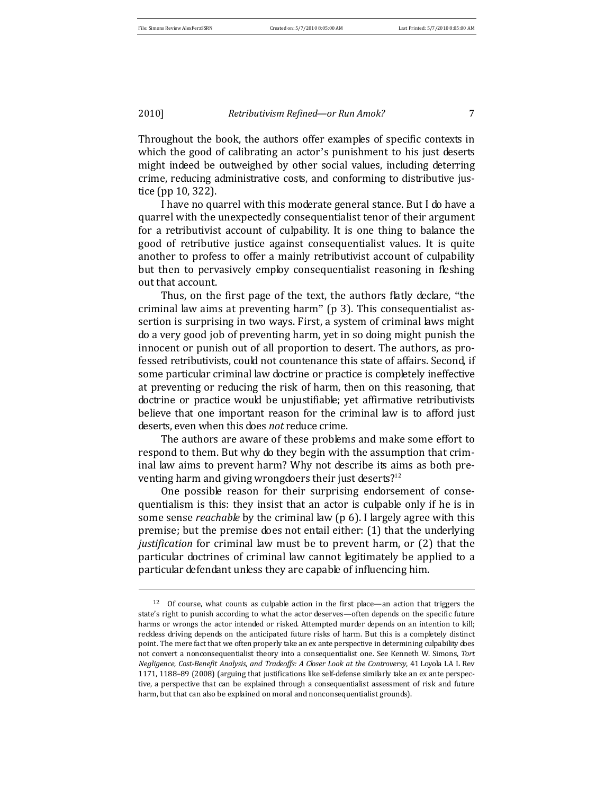Throughout the book, the authors offer examples of specific contexts in which the good of calibrating an actor's punishment to his just deserts might indeed be outweighed by other social values, including deterring crime, reducing administrative costs, and conforming to distributive justice (pp 10, 322).

I have no quarrel with this moderate general stance. But I do have a quarrel with the unexpectedly consequentialist tenor of their argument for a retributivist account of culpability. It is one thing to balance the good of retributive justice against consequentialist values. It is quite another to profess to offer a mainly retributivist account of culpability but then to pervasively employ consequentialist reasoning in fleshing out that account.

Thus, on the first page of the text, the authors flatly declare, "the criminal law aims at preventing harm" (p 3). This consequentialist assertion is surprising in two ways. First, a system of criminal laws might do a very good job of preventing harm, yet in so doing might punish the innocent or punish out of all proportion to desert. The authors, as professed retributivists, could not countenance this state of affairs. Second, if some particular criminal law doctrine or practice is completely ineffective at preventing or reducing the risk of harm, then on this reasoning, that doctrine or practice would be unjustifiable; yet affirmative retributivists believe that one important reason for the criminal law is to afford just deserts, even when this does *not* reduce crime.

The authors are aware of these problems and make some effort to respond to them. But why do they begin with the assumption that crim‐ inal law aims to prevent harm? Why not describe its aims as both preventing harm and giving wrongdoers their just deserts?<sup>12</sup>

One possible reason for their surprising endorsement of consequentialism is this: they insist that an actor is culpable only if he is in some sense *reachable* by the criminal law (p 6). I largely agree with this premise; but the premise does not entail either: (1) that the underlying *justification* for criminal law must be to prevent harm, or (2) that the particular doctrines of criminal law cannot legitimately be applied to a particular defendant unless they are capable of influencing him.

<sup>&</sup>lt;sup>12</sup> Of course, what counts as culpable action in the first place—an action that triggers the state's right to punish according to what the actor deserves—often depends on the specific future harms or wrongs the actor intended or risked. Attempted murder depends on an intention to kill; reckless driving depends on the anticipated future risks of harm. But this is a completely distinct point. The mere fact that we often properly take an ex ante perspective in determining culpability does not convert a nonconsequentialist theory into a consequentialist one. See Kenneth W. Simons, *Tort Negligence, CostBenefit Analysis, and Tradeoffs: A Closer Look at the Controversy*, 41 Loyola LA L Rev 1171, 1188–89 (2008) (arguing that justifications like self‐defense similarly take an ex ante perspec‐ tive, a perspective that can be explained through a consequentialist assessment of risk and future harm, but that can also be explained on moral and nonconsequentialist grounds).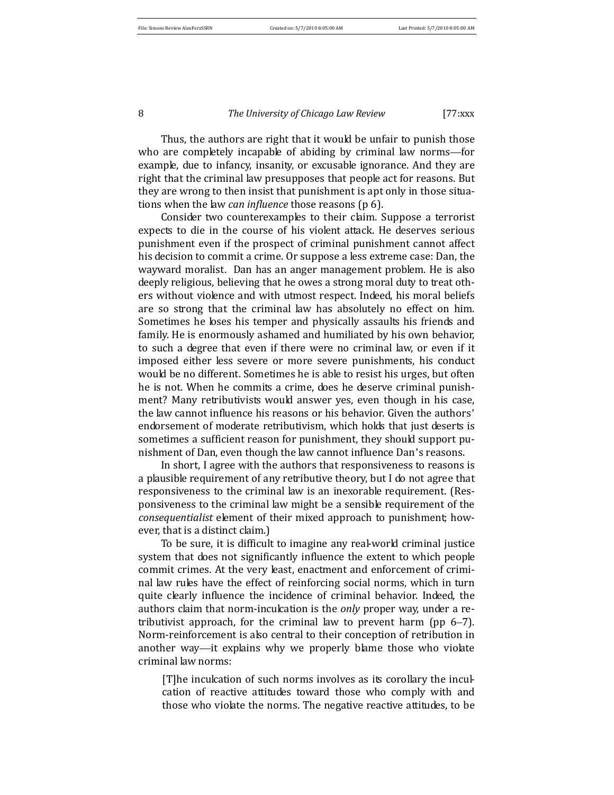Thus, the authors are right that it would be unfair to punish those who are completely incapable of abiding by criminal law norms-for example, due to infancy, insanity, or excusable ignorance. And they are right that the criminal law presupposes that people act for reasons. But they are wrong to then insist that punishment is apt only in those situa‐ tions when the law *can influence* those reasons (p 6).

Consider two counterexamples to their claim. Suppose a terrorist expects to die in the course of his violent attack. He deserves serious punishment even if the prospect of criminal punishment cannot affect his decision to commit a crime. Or suppose a less extreme case: Dan, the wayward moralist. Dan has an anger management problem. He is also deeply religious, believing that he owes a strong moral duty to treat oth‐ ers without violence and with utmost respect. Indeed, his moral beliefs are so strong that the criminal law has absolutely no effect on him. Sometimes he loses his temper and physically assaults his friends and family. He is enormously ashamed and humiliated by his own behavior, to such a degree that even if there were no criminal law, or even if it imposed either less severe or more severe punishments, his conduct would be no different. Sometimes he is able to resist his urges, but often he is not. When he commits a crime, does he deserve criminal punishment? Many retributivists would answer yes, even though in his case, the law cannot influence his reasons or his behavior. Given the authors' endorsement of moderate retributivism, which holds that just deserts is sometimes a sufficient reason for punishment, they should support pu‐ nishment of Dan, even though the law cannot influence Dan's reasons.

In short, I agree with the authors that responsiveness to reasons is a plausible requirement of any retributive theory, but I do not agree that responsiveness to the criminal law is an inexorable requirement. (Responsiveness to the criminal law might be a sensible requirement of the *consequentialist* element of their mixed approach to punishment; how‐ ever, that is a distinct claim.)

To be sure, it is difficult to imagine any real‐world criminal justice system that does not significantly influence the extent to which people commit crimes. At the very least, enactment and enforcement of criminal law rules have the effect of reinforcing social norms, which in turn quite clearly influence the incidence of criminal behavior. Indeed, the authors claim that norm‐inculcation is the *only* proper way, under a re‐ tributivist approach, for the criminal law to prevent harm (pp  $6-7$ ). Norm‐reinforcement is also central to their conception of retribution in another way—it explains why we properly blame those who violate criminal law norms:

[T]he inculcation of such norms involves as its corollary the inculcation of reactive attitudes toward those who comply with and those who violate the norms. The negative reactive attitudes, to be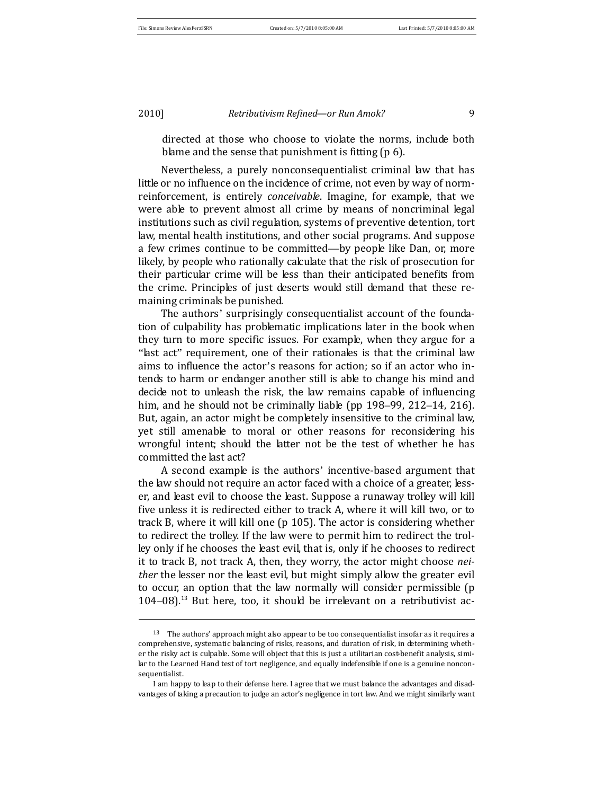directed at those who choose to violate the norms, include both blame and the sense that punishment is fitting (p 6).

Nevertheless, a purely nonconsequentialist criminal law that has little or no influence on the incidence of crime, not even by way of norm‐ reinforcement, is entirely *conceivable*. Imagine, for example, that we were able to prevent almost all crime by means of noncriminal legal institutions such as civil regulation, systems of preventive detention, tort law, mental health institutions, and other social programs. And suppose a few crimes continue to be committed—by people like Dan, or, more likely, by people who rationally calculate that the risk of prosecution for their particular crime will be less than their anticipated benefits from the crime. Principles of just deserts would still demand that these re‐ maining criminals be punished.

The authors' surprisingly consequentialist account of the foundation of culpability has problematic implications later in the book when they turn to more specific issues. For example, when they argue for a "last act" requirement, one of their rationales is that the criminal law aims to influence the actor's reasons for action; so if an actor who in‐ tends to harm or endanger another still is able to change his mind and decide not to unleash the risk, the law remains capable of influencing him, and he should not be criminally liable (pp  $198-99$ ,  $212-14$ ,  $216$ ). But, again, an actor might be completely insensitive to the criminal law, yet still amenable to moral or other reasons for reconsidering his wrongful intent; should the latter not be the test of whether he has committed the last act?

A second example is the authors' incentive‐based argument that the law should not require an actor faced with a choice of a greater, less‐ er, and least evil to choose the least. Suppose a runaway trolley will kill five unless it is redirected either to track A, where it will kill two, or to track B, where it will kill one (p 105). The actor is considering whether to redirect the trolley. If the law were to permit him to redirect the trol‐ ley only if he chooses the least evil, that is, only if he chooses to redirect it to track B, not track A, then, they worry, the actor might choose *neither* the lesser nor the least evil, but might simply allow the greater evil to occur, an option that the law normally will consider permissible (p  $104-08$ ).<sup>13</sup> But here, too, it should be irrelevant on a retributivist ac-

 $13$  The authors' approach might also appear to be too consequentialist insofar as it requires a comprehensive, systematic balancing of risks, reasons, and duration of risk, in determining wheth‐ er the risky act is culpable. Some will object that this is just a utilitarian cost-benefit analysis, similar to the Learned Hand test of tort negligence, and equally indefensible if one is a genuine nonconsequentialist.

I am happy to leap to their defense here. I agree that we must balance the advantages and disad‐ vantages of taking a precaution to judge an actor's negligence in tort law. And we might similarly want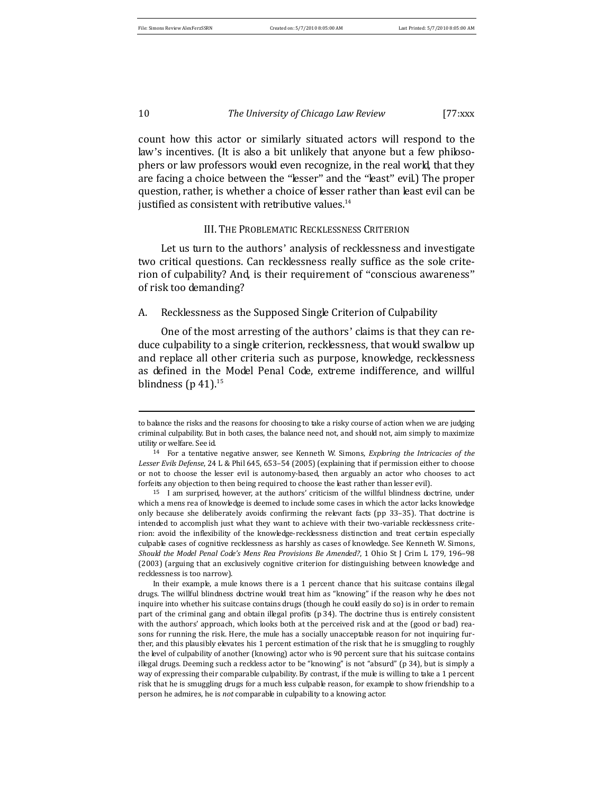10 *The University of Chicago Law Review* [77:xxx

count how this actor or similarly situated actors will respond to the law's incentives. It is also a bit unlikely that anyone but a few philosophers or law professors would even recognize, in the real world, that they are facing a choice between the "lesser" and the "least" evil.) The proper question, rather, is whether a choice of lesser rather than least evil can be justified as consistent with retributive values.<sup>14</sup>

#### III. THE PROBLEMATIC RECKLESSNESS CRITERION

Let us turn to the authors' analysis of recklessness and investigate two critical questions. Can recklessness really suffice as the sole crite‐ rion of culpability? And, is their requirement of "conscious awareness" of risk too demanding?

#### A. Recklessness as the Supposed Single Criterion of Culpability

One of the most arresting of the authors' claims is that they can re‐ duce culpability to a single criterion, recklessness, that would swallow up and replace all other criteria such as purpose, knowledge, recklessness as defined in the Model Penal Code, extreme indifference, and willful blindness (p $41$ ).<sup>15</sup>

to balance the risks and the reasons for choosing to take a risky course of action when we are judging criminal culpability. But in both cases, the balance need not, and should not, aim simply to maximize utility or welfare. See id.

<sup>14</sup> For a tentative negative answer, see Kenneth W. Simons, *Exploring the Intricacies of the Lesser Evils Defense*, 24 L & Phil 645, 653–54 (2005) (explaining that if permission either to choose or not to choose the lesser evil is autonomy-based, then arguably an actor who chooses to act forfeits any objection to then being required to choose the least rather than lesser evil).

<sup>15</sup> I am surprised, however, at the authors' criticism of the willful blindness doctrine, under which a mens rea of knowledge is deemed to include some cases in which the actor lacks knowledge only because she deliberately avoids confirming the relevant facts (pp 33–35). That doctrine is intended to accomplish just what they want to achieve with their two-variable recklessness criterion: avoid the inflexibility of the knowledge-recklessness distinction and treat certain especially culpable cases of cognitive recklessness as harshly as cases of knowledge. See Kenneth W. Simons, *Should the Model Penal Code's Mens Rea Provisions Be Amended?*, 1 Ohio St J Crim L 179, 196–98 (2003) (arguing that an exclusively cognitive criterion for distinguishing between knowledge and recklessness is too narrow).

In their example, a mule knows there is a 1 percent chance that his suitcase contains illegal drugs. The willful blindness doctrine would treat him as "knowing" if the reason why he does not inquire into whether his suitcase contains drugs (though he could easily do so) is in order to remain part of the criminal gang and obtain illegal profits (p 34). The doctrine thus is entirely consistent with the authors' approach, which looks both at the perceived risk and at the (good or bad) reasons for running the risk. Here, the mule has a socially unacceptable reason for not inquiring further, and this plausibly elevates his 1 percent estimation of the risk that he is smuggling to roughly the level of culpability of another (knowing) actor who is 90 percent sure that his suitcase contains illegal drugs. Deeming such a reckless actor to be "knowing" is not "absurd" (p 34), but is simply a way of expressing their comparable culpability. By contrast, if the mule is willing to take a 1 percent risk that he is smuggling drugs for a much less culpable reason, for example to show friendship to a person he admires, he is *not* comparable in culpability to a knowing actor.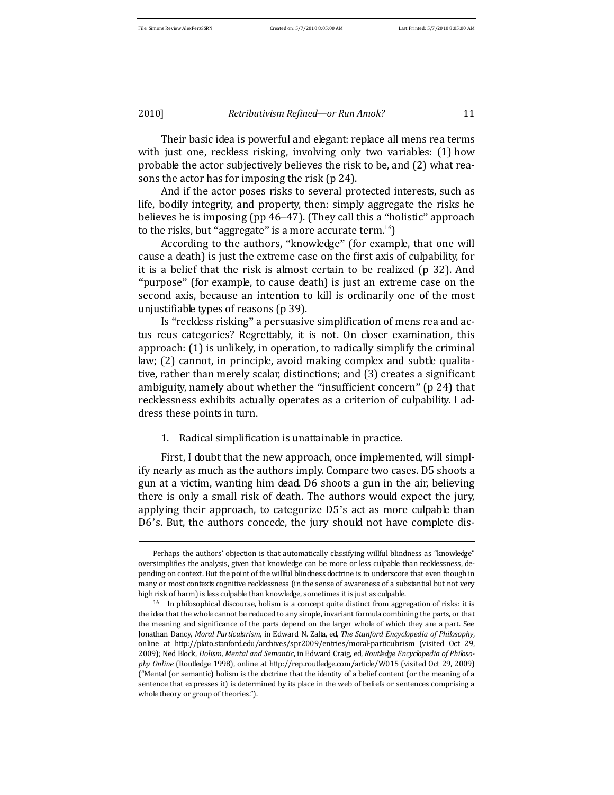i.

2010] *Retributivism Refined—or Run Amok?* 11

Their basic idea is powerful and elegant: replace all mens rea terms with just one, reckless risking, involving only two variables: (1) how probable the actor subjectively believes the risk to be, and (2) what rea‐ sons the actor has for imposing the risk (p 24).

And if the actor poses risks to several protected interests, such as life, bodily integrity, and property, then: simply aggregate the risks he believes he is imposing (pp 46–47). (They call this a "holistic" approach to the risks, but "aggregate" is a more accurate term.<sup>16</sup>)

According to the authors, "knowledge" (for example, that one will cause a death) is just the extreme case on the first axis of culpability, for it is a belief that the risk is almost certain to be realized (p 32). And "purpose" (for example, to cause death) is just an extreme case on the second axis, because an intention to kill is ordinarily one of the most unjustifiable types of reasons (p 39).

Is "reckless risking" a persuasive simplification of mens rea and ac‐ tus reus categories? Regrettably, it is not. On closer examination, this approach: (1) is unlikely, in operation, to radically simplify the criminal law; (2) cannot, in principle, avoid making complex and subtle qualitative, rather than merely scalar, distinctions; and (3) creates a significant ambiguity, namely about whether the "insufficient concern" (p 24) that recklessness exhibits actually operates as a criterion of culpability. I ad‐ dress these points in turn.

1. Radical simplification is unattainable in practice.

First, I doubt that the new approach, once implemented, will simplify nearly as much as the authors imply. Compare two cases. D5 shoots a gun at a victim, wanting him dead. D6 shoots a gun in the air, believing there is only a small risk of death. The authors would expect the jury, applying their approach, to categorize D5's act as more culpable than D6's. But, the authors concede, the jury should not have complete dis-

Perhaps the authors' objection is that automatically classifying willful blindness as "knowledge" oversimplifies the analysis, given that knowledge can be more or less culpable than recklessness, depending on context. But the point of the willful blindness doctrine is to underscore that even though in many or most contexts cognitive recklessness (in the sense of awareness of a substantial but not very high risk of harm) is less culpable than knowledge, sometimes it is just as culpable.

<sup>16</sup> In philosophical discourse, holism is a concept quite distinct from aggregation of risks: it is the idea that the whole cannot be reduced to any simple, invariant formula combining the parts, or that the meaning and significance of the parts depend on the larger whole of which they are a part. See Jonathan Dancy, *Moral Particularism*, in Edward N. Zalta, ed, *The Stanford Encyclopedia of Philosophy*, online at http://plato.stanford.edu/archives/spr2009/entries/moral-particularism (visited Oct 29, 2009); Ned Block, *Holism, Mental and Semantic*, in Edward Craig, ed, *Routledge Encyclopedia of Philosophy Online* (Routledge 1998), online at http://rep.routledge.com/article/W015 (visited Oct 29, 2009) ("Mental (or semantic) holism is the doctrine that the identity of a belief content (or the meaning of a sentence that expresses it) is determined by its place in the web of beliefs or sentences comprising a whole theory or group of theories.").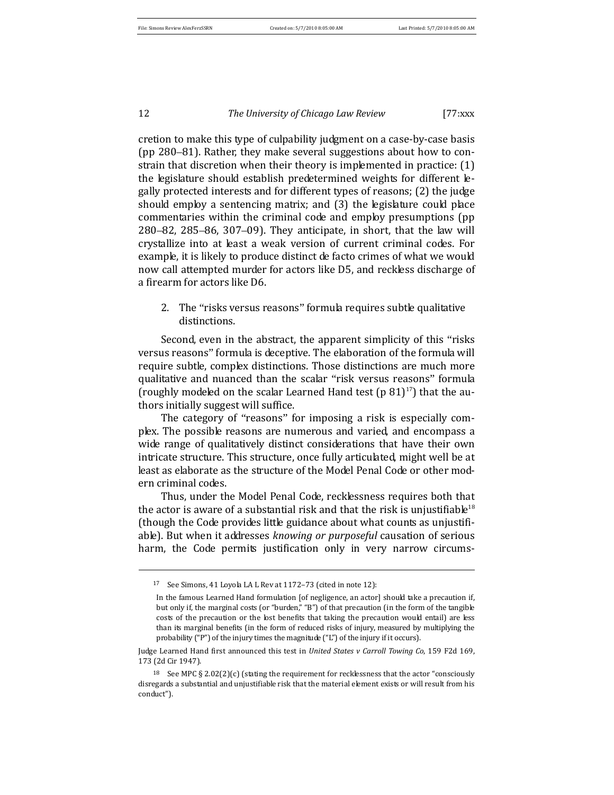cretion to make this type of culpability judgment on a case‐by‐case basis (pp 280–81). Rather, they make several suggestions about how to con‐ strain that discretion when their theory is implemented in practice: (1) the legislature should establish predetermined weights for different legally protected interests and for different types of reasons; (2) the judge should employ a sentencing matrix; and (3) the legislature could place commentaries within the criminal code and employ presumptions (pp 280–82, 285–86, 307–09). They anticipate, in short, that the law will crystallize into at least a weak version of current criminal codes. For example, it is likely to produce distinct de facto crimes of what we would now call attempted murder for actors like D5, and reckless discharge of a firearm for actors like D6.

2. The "risks versus reasons" formula requires subtle qualitative distinctions.

Second, even in the abstract, the apparent simplicity of this "risks versus reasons" formula is deceptive. The elaboration of the formula will require subtle, complex distinctions. Those distinctions are much more qualitative and nuanced than the scalar "risk versus reasons" formula (roughly modeled on the scalar Learned Hand test  $(p 81)^{17}$ ) that the authors initially suggest will suffice.

The category of "reasons" for imposing a risk is especially com‐ plex. The possible reasons are numerous and varied, and encompass a wide range of qualitatively distinct considerations that have their own intricate structure. This structure, once fully articulated, might well be at least as elaborate as the structure of the Model Penal Code or other mod‐ ern criminal codes.

Thus, under the Model Penal Code, recklessness requires both that the actor is aware of a substantial risk and that the risk is unjustifiable<sup>18</sup> (though the Code provides little guidance about what counts as unjustifi‐ able). But when it addresses *knowing or purposeful* causation of serious harm, the Code permits justification only in very narrow circums-

<u> 1989 - Andrea Stadt Britain, amerikansk politik (d. 1989)</u>

<sup>17</sup> See Simons, 41 Loyola LA L Rev at 1172–73 (cited in note 12):

In the famous Learned Hand formulation [of negligence, an actor] should take a precaution if, but only if, the marginal costs (or "burden," "B") of that precaution (in the form of the tangible costs of the precaution or the lost benefits that taking the precaution would entail) are less than its marginal benefits (in the form of reduced risks of injury, measured by multiplying the probability ("P") of the injury times the magnitude ("L") of the injury if it occurs).

Judge Learned Hand first announced this test in *United States v Carroll Towing Co*, 159 F2d 169, 173 (2d Cir 1947).

<sup>&</sup>lt;sup>18</sup> See MPC § 2.02(2)(c) (stating the requirement for recklessness that the actor "consciously disregards a substantial and unjustifiable risk that the material element exists or will result from his conduct").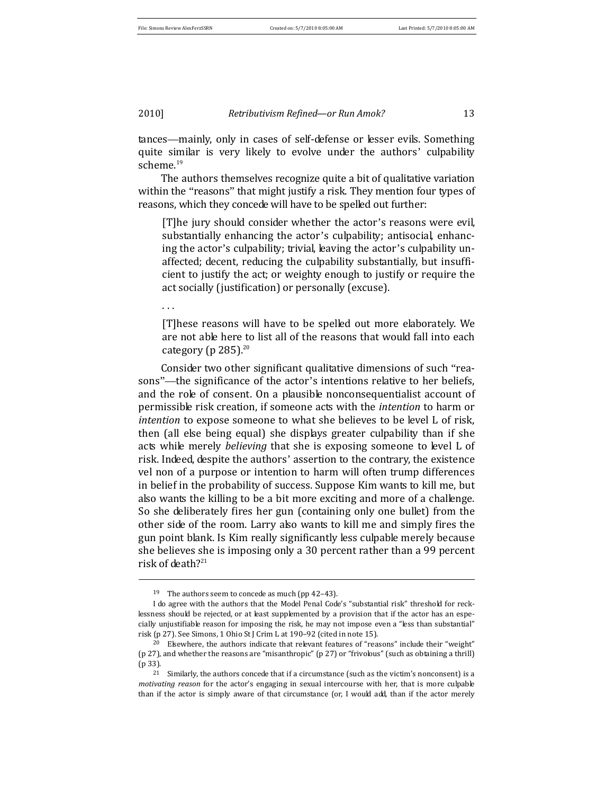tances—mainly, only in cases of self‐defense or lesser evils. Something quite similar is very likely to evolve under the authors' culpability scheme.<sup>19</sup>

The authors themselves recognize quite a bit of qualitative variation within the "reasons" that might justify a risk. They mention four types of reasons, which they concede will have to be spelled out further:

[T]he jury should consider whether the actor's reasons were evil, substantially enhancing the actor's culpability; antisocial, enhanc‐ ing the actor's culpability; trivial, leaving the actor's culpability un‐ affected; decent, reducing the culpability substantially, but insuffi‐ cient to justify the act; or weighty enough to justify or require the act socially (justification) or personally (excuse).

. . .

[T]hese reasons will have to be spelled out more elaborately. We are not able here to list all of the reasons that would fall into each category (p  $285$ ).<sup>20</sup>

Consider two other significant qualitative dimensions of such "rea‐ sons"—the significance of the actor's intentions relative to her beliefs, and the role of consent. On a plausible nonconsequentialist account of permissible risk creation, if someone acts with the *intention* to harm or *intention* to expose someone to what she believes to be level L of risk, then (all else being equal) she displays greater culpability than if she acts while merely *believing* that she is exposing someone to level L of risk. Indeed, despite the authors' assertion to the contrary, the existence vel non of a purpose or intention to harm will often trump differences in belief in the probability of success. Suppose Kim wants to kill me, but also wants the killing to be a bit more exciting and more of a challenge. So she deliberately fires her gun (containing only one bullet) from the other side of the room. Larry also wants to kill me and simply fires the gun point blank. Is Kim really significantly less culpable merely because she believes she is imposing only a 30 percent rather than a 99 percent risk of death?<sup>21</sup>

<u> 1989 - Andrea Stadt Britain, amerikansk politik (d. 1989)</u>

<sup>&</sup>lt;sup>19</sup> The authors seem to concede as much (pp  $42-43$ ).

I do agree with the authors that the Model Penal Code's "substantial risk" threshold for recklessness should be rejected, or at least supplemented by a provision that if the actor has an especially unjustifiable reason for imposing the risk, he may not impose even a "less than substantial" risk (p 27). See Simons, 1 Ohio St J Crim L at 190–92 (cited in note 15).

<sup>&</sup>lt;sup>20</sup> Elsewhere, the authors indicate that relevant features of "reasons" include their "weight" (p 27), and whether the reasons are "misanthropic" (p 27) or "frivolous" (such as obtaining a thrill) (p 33).

Similarly, the authors concede that if a circumstance (such as the victim's nonconsent) is a *motivating reason* for the actor's engaging in sexual intercourse with her, that is more culpable than if the actor is simply aware of that circumstance (or, I would add, than if the actor merely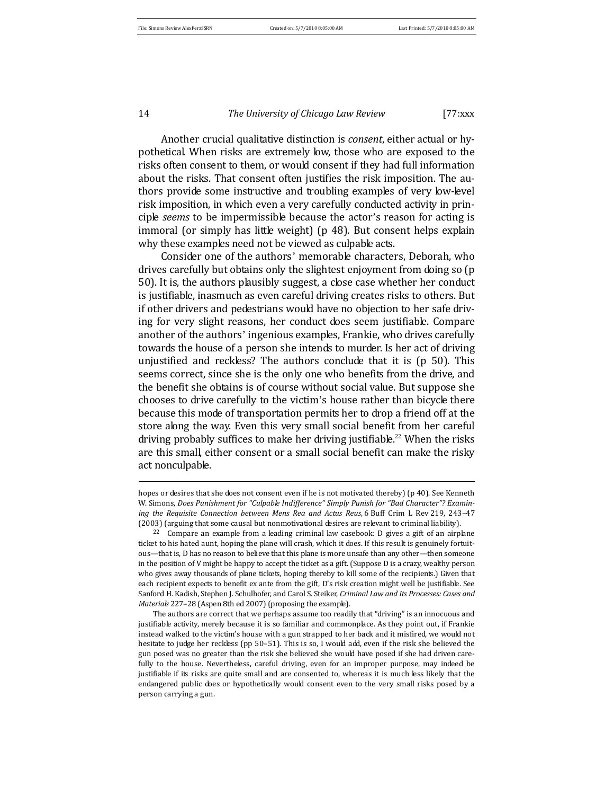Another crucial qualitative distinction is *consent*, either actual or hy‐ pothetical. When risks are extremely low, those who are exposed to the risks often consent to them, or would consent if they had full information about the risks. That consent often justifies the risk imposition. The au‐ thors provide some instructive and troubling examples of very low-level risk imposition, in which even a very carefully conducted activity in prin‐ ciple *seems* to be impermissible because the actor's reason for acting is immoral (or simply has little weight) (p 48). But consent helps explain why these examples need not be viewed as culpable acts.

Consider one of the authors' memorable characters, Deborah, who drives carefully but obtains only the slightest enjoyment from doing so (p 50). It is, the authors plausibly suggest, a close case whether her conduct is justifiable, inasmuch as even careful driving creates risks to others. But if other drivers and pedestrians would have no objection to her safe driv‐ ing for very slight reasons, her conduct does seem justifiable. Compare another of the authors' ingenious examples, Frankie, who drives carefully towards the house of a person she intends to murder. Is her act of driving unjustified and reckless? The authors conclude that it is (p 50). This seems correct, since she is the only one who benefits from the drive, and the benefit she obtains is of course without social value. But suppose she chooses to drive carefully to the victim's house rather than bicycle there because this mode of transportation permits her to drop a friend off at the store along the way. Even this very small social benefit from her careful driving probably suffices to make her driving justifiable.<sup>22</sup> When the risks are this small, either consent or a small social benefit can make the risky act nonculpable.

i.

hopes or desires that she does not consent even if he is not motivated thereby) (p 40). See Kenneth W. Simons, *Does Punishment for "Culpable Indifference" Simply Punish for "Bad Character"? Examining the Requisite Connection between Mens Rea and Actus Reus*, 6 Buff Crim L Rev 219, 243–47 (2003) (arguing that some causal but nonmotivational desires are relevant to criminal liability).

<sup>&</sup>lt;sup>22</sup> Compare an example from a leading criminal law casebook: D gives a gift of an airplane ticket to his hated aunt, hoping the plane will crash, which it does. If this result is genuinely fortuitous—that is, D has no reason to believe that this plane is more unsafe than any other—then someone in the position of V might be happy to accept the ticket as a gift. (Suppose D is a crazy, wealthy person who gives away thousands of plane tickets, hoping thereby to kill some of the recipients.) Given that each recipient expects to benefit ex ante from the gift, D's risk creation might well be justifiable. See Sanford H. Kadish, Stephen J. Schulhofer, and Carol S. Steiker, *Criminal Law and Its Processes: Cases and Materials* 227–28 (Aspen 8th ed 2007) (proposing the example).

The authors are correct that we perhaps assume too readily that "driving" is an innocuous and justifiable activity, merely because it is so familiar and commonplace. As they point out, if Frankie instead walked to the victim's house with a gun strapped to her back and it misfired, we would not hesitate to judge her reckless (pp 50–51). This is so, I would add, even if the risk she believed the gun posed was no greater than the risk she believed she would have posed if she had driven care‐ fully to the house. Nevertheless, careful driving, even for an improper purpose, may indeed be justifiable if its risks are quite small and are consented to, whereas it is much less likely that the endangered public does or hypothetically would consent even to the very small risks posed by a person carrying a gun.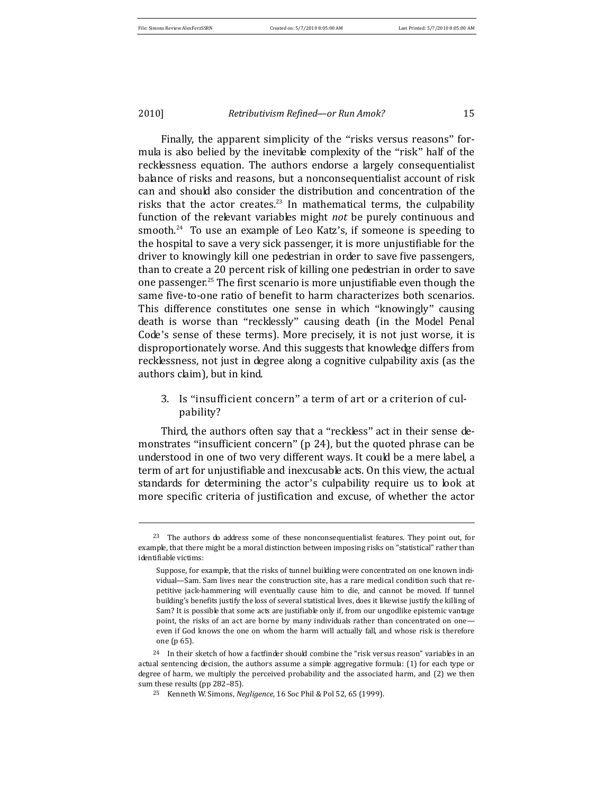Finally, the apparent simplicity of the "risks versus reasons" formula is also belied by the inevitable complexity of the "risk" half of the recklessness equation. The authors endorse a largely consequentialist balance of risks and reasons, but a nonconsequentialist account of risk can and should also consider the distribution and concentration of the risks that the actor creates.<sup>23</sup> In mathematical terms, the culpability function of the relevant variables might *not* be purely continuous and smooth.<sup>24</sup> To use an example of Leo Katz's, if someone is speeding to the hospital to save a very sick passenger, it is more unjustifiable for the driver to knowingly kill one pedestrian in order to save five passengers, than to create a 20 percent risk of killing one pedestrian in order to save one passenger.25 The first scenario is more unjustifiable even though the same five-to-one ratio of benefit to harm characterizes both scenarios. This difference constitutes one sense in which "knowingly" causing death is worse than "recklessly" causing death (in the Model Penal Code's sense of these terms). More precisely, it is not just worse, it is disproportionately worse. And this suggests that knowledge differs from recklessness, not just in degree along a cognitive culpability axis (as the authors claim), but in kind.

3. Is "insufficient concern" a term of art or a criterion of cul‐ pability?

Third, the authors often say that a "reckless" act in their sense de‐ monstrates "insufficient concern" (p 24), but the quoted phrase can be understood in one of two very different ways. It could be a mere label, a term of art for unjustifiable and inexcusable acts. On this view, the actual standards for determining the actor's culpability require us to look at more specific criteria of justification and excuse, of whether the actor

<sup>&</sup>lt;sup>23</sup> The authors do address some of these nonconsequentialist features. They point out, for example, that there might be a moral distinction between imposing risks on "statistical" rather than identifiable victims:

Suppose, for example, that the risks of tunnel building were concentrated on one known individual—Sam. Sam lives near the construction site, has a rare medical condition such that re‐ petitive jack-hammering will eventually cause him to die, and cannot be moved. If tunnel building's benefits justify the loss of several statistical lives, does it likewise justify the killing of Sam? It is possible that some acts are justifiable only if, from our ungodlike epistemic vantage point, the risks of an act are borne by many individuals rather than concentrated on oneeven if God knows the one on whom the harm will actually fall, and whose risk is therefore one (p 65).

 $24$  In their sketch of how a factfinder should combine the "risk versus reason" variables in an actual sentencing decision, the authors assume a simple aggregative formula: (1) for each type or degree of harm, we multiply the perceived probability and the associated harm, and (2) we then sum these results (pp 282-85).

<sup>25</sup> Kenneth W. Simons, *Negligence*, 16 Soc Phil & Pol 52, 65 (1999).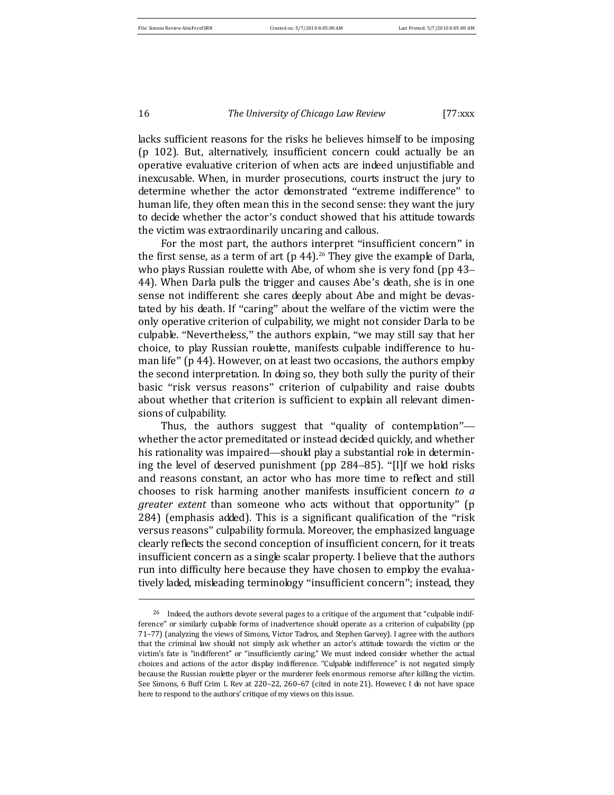lacks sufficient reasons for the risks he believes himself to be imposing (p 102). But, alternatively, insufficient concern could actually be an operative evaluative criterion of when acts are indeed unjustifiable and inexcusable. When, in murder prosecutions, courts instruct the jury to determine whether the actor demonstrated "extreme indifference" to human life, they often mean this in the second sense: they want the jury to decide whether the actor's conduct showed that his attitude towards the victim was extraordinarily uncaring and callous.

For the most part, the authors interpret "insufficient concern" in the first sense, as a term of art (p  $44$ ).<sup>26</sup> They give the example of Darla, who plays Russian roulette with Abe, of whom she is very fond (pp 43– 44). When Darla pulls the trigger and causes Abe's death, she is in one sense not indifferent: she cares deeply about Abe and might be devastated by his death. If "caring" about the welfare of the victim were the only operative criterion of culpability, we might not consider Darla to be culpable. "Nevertheless," the authors explain, "we may still say that her choice, to play Russian roulette, manifests culpable indifference to hu‐ man life" (p 44). However, on at least two occasions, the authors employ the second interpretation. In doing so, they both sully the purity of their basic "risk versus reasons" criterion of culpability and raise doubts about whether that criterion is sufficient to explain all relevant dimen‐ sions of culpability.

Thus, the authors suggest that "quality of contemplation" whether the actor premeditated or instead decided quickly, and whether his rationality was impaired—should play a substantial role in determining the level of deserved punishment (pp 284–85). "[I]f we hold risks and reasons constant, an actor who has more time to reflect and still chooses to risk harming another manifests insufficient concern *to a greater extent* than someone who acts without that opportunity" (p 284) (emphasis added). This is a significant qualification of the "risk versus reasons" culpability formula. Moreover, the emphasized language clearly reflects the second conception of insufficient concern, for it treats insufficient concern as a single scalar property. I believe that the authors run into difficulty here because they have chosen to employ the evalua‐ tively laded, misleading terminology "insufficient concern"; instead, they

<sup>&</sup>lt;sup>26</sup> Indeed, the authors devote several pages to a critique of the argument that "culpable indifference" or similarly culpable forms of inadvertence should operate as a criterion of culpability (pp 71–77) (analyzing the views of Simons, Victor Tadros, and Stephen Garvey). I agree with the authors that the criminal law should not simply ask whether an actor's attitude towards the victim or the victim's fate is "indifferent" or "insufficiently caring." We must indeed consider whether the actual choices and actions of the actor display indifference. "Culpable indifference" is not negated simply because the Russian roulette player or the murderer feels enormous remorse after killing the victim. See Simons, 6 Buff Crim L Rev at 220–22, 260–67 (cited in note 21). However, I do not have space here to respond to the authors' critique of my views on this issue.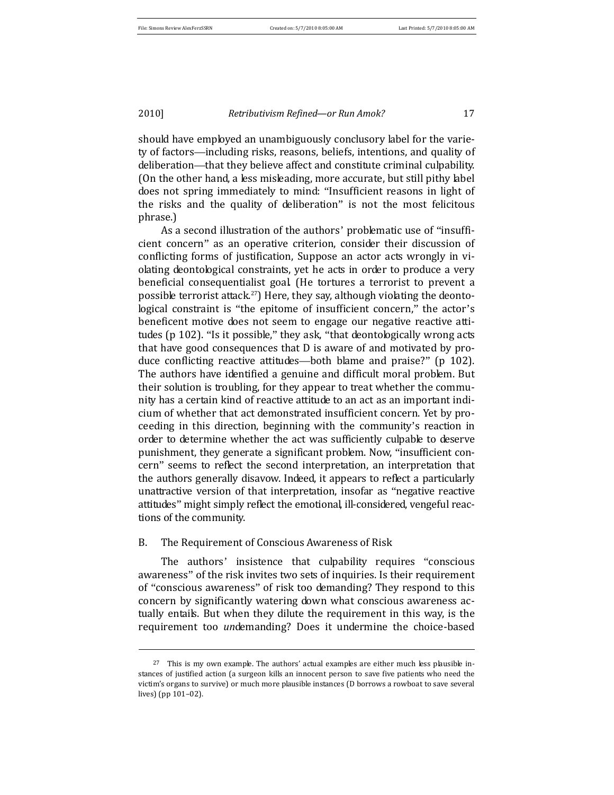should have employed an unambiguously conclusory label for the varie‐ ty of factors—including risks, reasons, beliefs, intentions, and quality of deliberation—that they believe affect and constitute criminal culpability. (On the other hand, a less misleading, more accurate, but still pithy label does not spring immediately to mind: "Insufficient reasons in light of the risks and the quality of deliberation" is not the most felicitous phrase.)

As a second illustration of the authors' problematic use of "insuffi‐ cient concern" as an operative criterion, consider their discussion of conflicting forms of justification, Suppose an actor acts wrongly in vi‐ olating deontological constraints, yet he acts in order to produce a very beneficial consequentialist goal. (He tortures a terrorist to prevent a possible terrorist attack.<sup>27</sup>) Here, they say, although violating the deontological constraint is "the epitome of insufficient concern," the actor's beneficent motive does not seem to engage our negative reactive attitudes (p 102). "Is it possible," they ask, "that deontologically wrong acts that have good consequences that D is aware of and motivated by pro‐ duce conflicting reactive attitudes—both blame and praise?" (p 102). The authors have identified a genuine and difficult moral problem. But their solution is troubling, for they appear to treat whether the commu‐ nity has a certain kind of reactive attitude to an act as an important indi‐ cium of whether that act demonstrated insufficient concern. Yet by pro‐ ceeding in this direction, beginning with the community's reaction in order to determine whether the act was sufficiently culpable to deserve punishment, they generate a significant problem. Now, "insufficient concern" seems to reflect the second interpretation, an interpretation that the authors generally disavow. Indeed, it appears to reflect a particularly unattractive version of that interpretation, insofar as "negative reactive attitudes" might simply reflect the emotional, ill-considered, vengeful reactions of the community.

#### B. The Requirement of Conscious Awareness of Risk

The authors' insistence that culpability requires "conscious awareness" of the risk invites two sets of inquiries. Is their requirement of "conscious awareness" of risk too demanding? They respond to this concern by significantly watering down what conscious awareness ac‐ tually entails. But when they dilute the requirement in this way, is the requirement too *un*demanding? Does it undermine the choice‐based

 $27$  This is my own example. The authors' actual examples are either much less plausible instances of justified action (a surgeon kills an innocent person to save five patients who need the victim's organs to survive) or much more plausible instances (D borrows a rowboat to save several lives) (pp 101–02).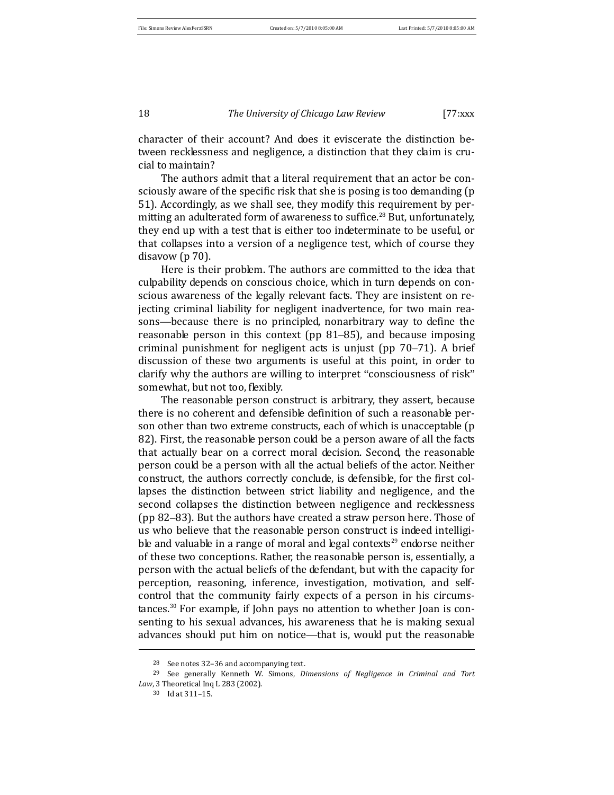character of their account? And does it eviscerate the distinction be‐ tween recklessness and negligence, a distinction that they claim is crucial to maintain?

The authors admit that a literal requirement that an actor be con‐ sciously aware of the specific risk that she is posing is too demanding (p 51). Accordingly, as we shall see, they modify this requirement by per‐ mitting an adulterated form of awareness to suffice.<sup>28</sup> But, unfortunately, they end up with a test that is either too indeterminate to be useful, or that collapses into a version of a negligence test, which of course they disavow (p 70).

Here is their problem. The authors are committed to the idea that culpability depends on conscious choice, which in turn depends on conscious awareness of the legally relevant facts. They are insistent on rejecting criminal liability for negligent inadvertence, for two main reasons—because there is no principled, nonarbitrary way to define the reasonable person in this context (pp 81–85), and because imposing criminal punishment for negligent acts is unjust (pp 70–71). A brief discussion of these two arguments is useful at this point, in order to clarify why the authors are willing to interpret "consciousness of risk" somewhat, but not too, flexibly.

The reasonable person construct is arbitrary, they assert, because there is no coherent and defensible definition of such a reasonable per‐ son other than two extreme constructs, each of which is unacceptable (p 82). First, the reasonable person could be a person aware of all the facts that actually bear on a correct moral decision. Second, the reasonable person could be a person with all the actual beliefs of the actor. Neither construct, the authors correctly conclude, is defensible, for the first col‐ lapses the distinction between strict liability and negligence, and the second collapses the distinction between negligence and recklessness (pp 82–83). But the authors have created a straw person here. Those of us who believe that the reasonable person construct is indeed intelligi‐ ble and valuable in a range of moral and legal contexts<sup>29</sup> endorse neither of these two conceptions. Rather, the reasonable person is, essentially, a person with the actual beliefs of the defendant, but with the capacity for perception, reasoning, inference, investigation, motivation, and self‐ control that the community fairly expects of a person in his circumstances.<sup>30</sup> For example, if John pays no attention to whether Joan is consenting to his sexual advances, his awareness that he is making sexual advances should put him on notice—that is, would put the reasonable

<sup>28</sup> See notes 32–36 and accompanying text.

<sup>29</sup> See generally Kenneth W. Simons, *Dimensions of Negligence in Criminal and Tort Law*, 3 Theoretical Inq L 283 (2002).

<sup>30</sup> Id at 311–15.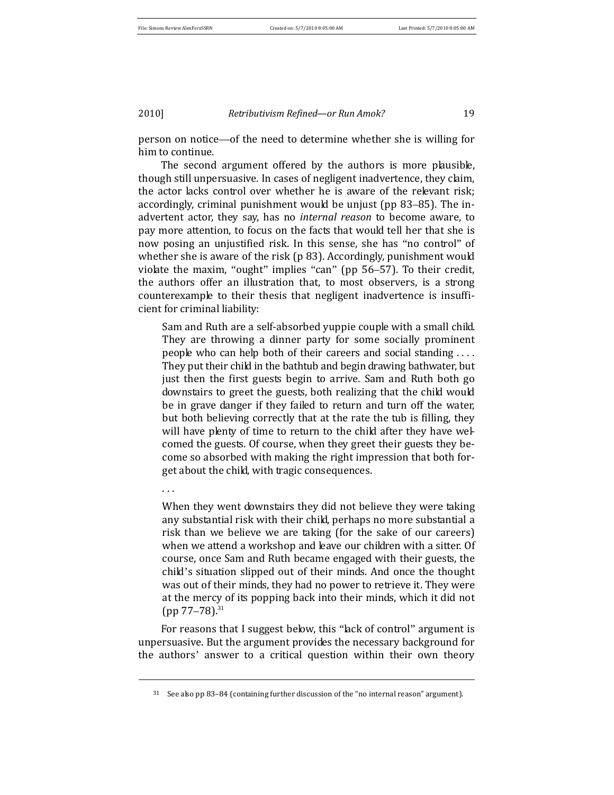person on notice—of the need to determine whether she is willing for him to continue.

The second argument offered by the authors is more plausible, though still unpersuasive. In cases of negligent inadvertence, they claim, the actor lacks control over whether he is aware of the relevant risk; accordingly, criminal punishment would be unjust (pp 83–85). The in‐ advertent actor, they say, has no *internal reason* to become aware, to pay more attention, to focus on the facts that would tell her that she is now posing an unjustified risk. In this sense, she has "no control" of whether she is aware of the risk (p 83). Accordingly, punishment would violate the maxim, "ought" implies "can" (pp 56–57). To their credit, the authors offer an illustration that, to most observers, is a strong counterexample to their thesis that negligent inadvertence is insuffi‐ cient for criminal liability:

Sam and Ruth are a self‐absorbed yuppie couple with a small child. They are throwing a dinner party for some socially prominent people who can help both of their careers and social standing . . . . They put their child in the bathtub and begin drawing bathwater, but just then the first guests begin to arrive. Sam and Ruth both go downstairs to greet the guests, both realizing that the child would be in grave danger if they failed to return and turn off the water, but both believing correctly that at the rate the tub is filling, they will have plenty of time to return to the child after they have welcomed the guests. Of course, when they greet their guests they be‐ come so absorbed with making the right impression that both for‐ get about the child, with tragic consequences.

. . .

When they went downstairs they did not believe they were taking any substantial risk with their child, perhaps no more substantial a risk than we believe we are taking (for the sake of our careers) when we attend a workshop and leave our children with a sitter. Of course, once Sam and Ruth became engaged with their guests, the child's situation slipped out of their minds. And once the thought was out of their minds, they had no power to retrieve it. They were at the mercy of its popping back into their minds, which it did not  $(pp 77-78)^{31}$ 

For reasons that I suggest below, this "lack of control" argument is unpersuasive. But the argument provides the necessary background for the authors' answer to a critical question within their own theory

 31 See also pp 83–84 (containing further discussion of the "no internal reason" argument).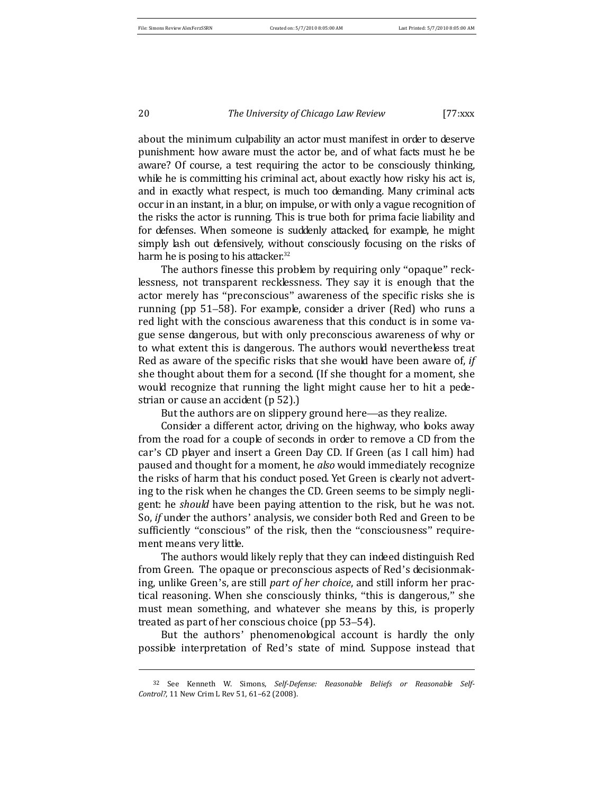about the minimum culpability an actor must manifest in order to deserve punishment: how aware must the actor be, and of what facts must he be aware? Of course, a test requiring the actor to be consciously thinking, while he is committing his criminal act, about exactly how risky his act is, and in exactly what respect, is much too demanding. Many criminal acts occur in an instant, in a blur, on impulse, or with only a vague recognition of the risks the actor is running. This is true both for prima facie liability and for defenses. When someone is suddenly attacked, for example, he might simply lash out defensively, without consciously focusing on the risks of harm he is posing to his attacker.<sup>32</sup>

The authors finesse this problem by requiring only "opaque" recklessness, not transparent recklessness. They say it is enough that the actor merely has "preconscious" awareness of the specific risks she is running (pp 51–58). For example, consider a driver (Red) who runs a red light with the conscious awareness that this conduct is in some vague sense dangerous, but with only preconscious awareness of why or to what extent this is dangerous. The authors would nevertheless treat Red as aware of the specific risks that she would have been aware of, *if* she thought about them for a second. (If she thought for a moment, she would recognize that running the light might cause her to hit a pedestrian or cause an accident (p 52).)

But the authors are on slippery ground here—as they realize.

Consider a different actor, driving on the highway, who looks away from the road for a couple of seconds in order to remove a CD from the car's CD player and insert a Green Day CD. If Green (as I call him) had paused and thought for a moment, he *also* would immediately recognize the risks of harm that his conduct posed. Yet Green is clearly not adverting to the risk when he changes the CD. Green seems to be simply negli‐ gent: he *should* have been paying attention to the risk, but he was not. So, *if* under the authors' analysis, we consider both Red and Green to be sufficiently "conscious" of the risk, then the "consciousness" requirement means very little.

The authors would likely reply that they can indeed distinguish Red from Green. The opaque or preconscious aspects of Red's decisionmak‐ ing, unlike Green's, are still *part of her choice*, and still inform her prac‐ tical reasoning. When she consciously thinks, "this is dangerous," she must mean something, and whatever she means by this, is properly treated as part of her conscious choice (pp 53–54).

But the authors' phenomenological account is hardly the only possible interpretation of Red's state of mind. Suppose instead that

<u> 1989 - Andrea Stadt Britain, amerikansk politik (d. 1989)</u>

<sup>32</sup> See Kenneth W. Simons, *SelfDefense: Reasonable Beliefs or Reasonable Self-Control?*, 11 New Crim L Rev 51, 61–62 (2008).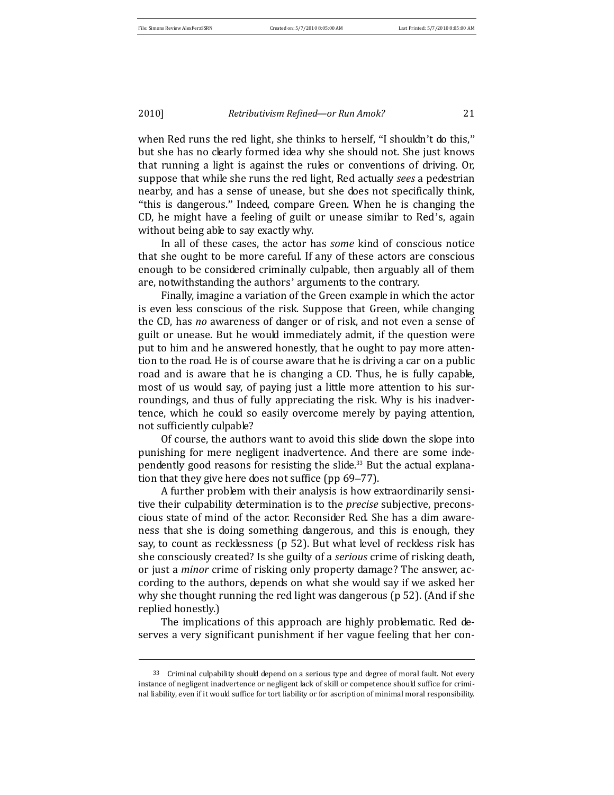when Red runs the red light, she thinks to herself, "I shouldn't do this," but she has no clearly formed idea why she should not. She just knows that running a light is against the rules or conventions of driving. Or, suppose that while she runs the red light, Red actually *sees* a pedestrian nearby, and has a sense of unease, but she does not specifically think, "this is dangerous." Indeed, compare Green. When he is changing the CD, he might have a feeling of guilt or unease similar to Red's, again without being able to say exactly why.

In all of these cases, the actor has *some* kind of conscious notice that she ought to be more careful. If any of these actors are conscious enough to be considered criminally culpable, then arguably all of them are, notwithstanding the authors' arguments to the contrary.

Finally, imagine a variation of the Green example in which the actor is even less conscious of the risk. Suppose that Green, while changing the CD, has *no* awareness of danger or of risk, and not even a sense of guilt or unease. But he would immediately admit, if the question were put to him and he answered honestly, that he ought to pay more atten‐ tion to the road. He is of course aware that he is driving a car on a public road and is aware that he is changing a CD. Thus, he is fully capable, most of us would say, of paying just a little more attention to his surroundings, and thus of fully appreciating the risk. Why is his inadver‐ tence, which he could so easily overcome merely by paying attention, not sufficiently culpable?

Of course, the authors want to avoid this slide down the slope into punishing for mere negligent inadvertence. And there are some inde‐ pendently good reasons for resisting the slide.<sup>33</sup> But the actual explanation that they give here does not suffice (pp 69–77).

A further problem with their analysis is how extraordinarily sensi‐ tive their culpability determination is to the *precise* subjective, precons‐ cious state of mind of the actor. Reconsider Red. She has a dim aware‐ ness that she is doing something dangerous, and this is enough, they say, to count as recklessness (p 52). But what level of reckless risk has she consciously created? Is she guilty of a *serious* crime of risking death, or just a *minor* crime of risking only property damage? The answer, ac‐ cording to the authors, depends on what she would say if we asked her why she thought running the red light was dangerous (p 52). (And if she replied honestly.)

The implications of this approach are highly problematic. Red deserves a very significant punishment if her vague feeling that her con-

<sup>&</sup>lt;sup>33</sup> Criminal culpability should depend on a serious type and degree of moral fault. Not every instance of negligent inadvertence or negligent lack of skill or competence should suffice for criminal liability, even if it would suffice for tort liability or for ascription of minimal moral responsibility.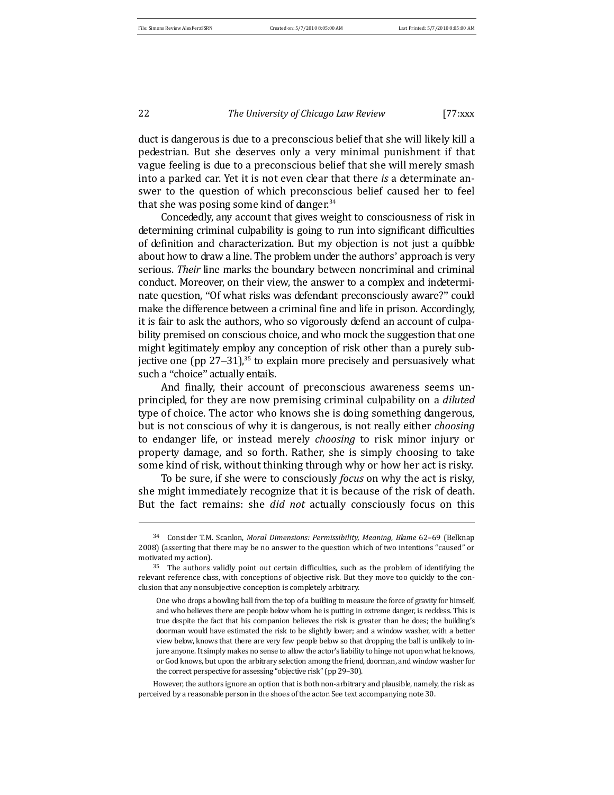duct is dangerous is due to a preconscious belief that she will likely kill a pedestrian. But she deserves only a very minimal punishment if that vague feeling is due to a preconscious belief that she will merely smash into a parked car. Yet it is not even clear that there *is* a determinate an‐ swer to the question of which preconscious belief caused her to feel that she was posing some kind of danger.<sup>34</sup>

Concededly, any account that gives weight to consciousness of risk in determining criminal culpability is going to run into significant difficulties of definition and characterization. But my objection is not just a quibble about how to draw a line. The problem under the authors' approach is very serious. *Their* line marks the boundary between noncriminal and criminal conduct. Moreover, on their view, the answer to a complex and indetermi‐ nate question, "Of what risks was defendant preconsciously aware?" could make the difference between a criminal fine and life in prison. Accordingly, it is fair to ask the authors, who so vigorously defend an account of culpability premised on conscious choice, and who mock the suggestion that one might legitimately employ any conception of risk other than a purely subjective one (pp  $27-31$ ),<sup>35</sup> to explain more precisely and persuasively what such a "choice" actually entails.

And finally, their account of preconscious awareness seems unprincipled, for they are now premising criminal culpability on a *diluted* type of choice. The actor who knows she is doing something dangerous, but is not conscious of why it is dangerous, is not really either *choosing* to endanger life, or instead merely *choosing* to risk minor injury or property damage, and so forth. Rather, she is simply choosing to take some kind of risk, without thinking through why or how her act is risky.

To be sure, if she were to consciously *focus* on why the act is risky, she might immediately recognize that it is because of the risk of death. But the fact remains: she *did not* actually consciously focus on this

However, the authors ignore an option that is both non-arbitrary and plausible, namely, the risk as perceived by a reasonable person in the shoes of the actor. See text accompanying note 30.

<sup>34</sup> Consider T.M. Scanlon, *Moral Dimensions: Permissibility, Meaning, Blame* 62–69 (Belknap 2008) (asserting that there may be no answer to the question which of two intentions "caused" or motivated my action).

<sup>&</sup>lt;sup>35</sup> The authors validly point out certain difficulties, such as the problem of identifying the relevant reference class, with conceptions of objective risk. But they move too quickly to the conclusion that any nonsubjective conception is completely arbitrary.

One who drops a bowling ball from the top of a building to measure the force of gravity for himself, and who believes there are people below whom he is putting in extreme danger, is reckless. This is true despite the fact that his companion believes the risk is greater than he does; the building's doorman would have estimated the risk to be slightly lower; and a window washer, with a better view below, knows that there are very few people below so that dropping the ball is unlikely to injure anyone. It simply makes no sense to allow the actor's liability to hinge not upon what he knows, or God knows, but upon the arbitrary selection among the friend, doorman, and window washer for the correct perspective for assessing "objective risk" (pp 29–30).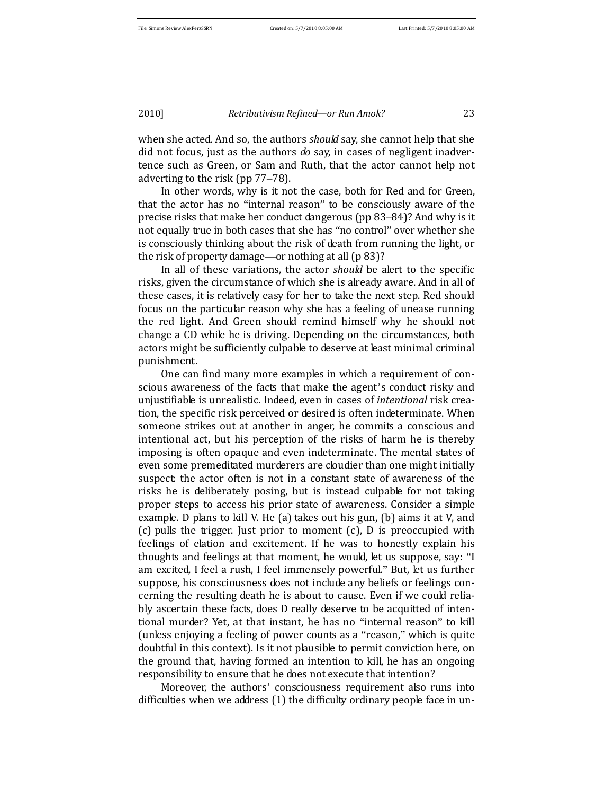when she acted. And so, the authors *should* say, she cannot help that she did not focus, just as the authors *do* say, in cases of negligent inadver‐ tence such as Green, or Sam and Ruth, that the actor cannot help not adverting to the risk (pp 77–78).

In other words, why is it not the case, both for Red and for Green, that the actor has no "internal reason" to be consciously aware of the precise risks that make her conduct dangerous (pp 83–84)? And why is it not equally true in both cases that she has "no control" over whether she is consciously thinking about the risk of death from running the light, or the risk of property damage—or nothing at all (p 83)?

In all of these variations, the actor *should* be alert to the specific risks, given the circumstance of which she is already aware. And in all of these cases, it is relatively easy for her to take the next step. Red should focus on the particular reason why she has a feeling of unease running the red light. And Green should remind himself why he should not change a CD while he is driving. Depending on the circumstances, both actors might be sufficiently culpable to deserve at least minimal criminal punishment.

One can find many more examples in which a requirement of con‐ scious awareness of the facts that make the agent's conduct risky and unjustifiable is unrealistic. Indeed, even in cases of *intentional* risk crea‐ tion, the specific risk perceived or desired is often indeterminate. When someone strikes out at another in anger, he commits a conscious and intentional act, but his perception of the risks of harm he is thereby imposing is often opaque and even indeterminate. The mental states of even some premeditated murderers are cloudier than one might initially suspect: the actor often is not in a constant state of awareness of the risks he is deliberately posing, but is instead culpable for not taking proper steps to access his prior state of awareness. Consider a simple example. D plans to kill V. He (a) takes out his gun, (b) aims it at V, and  $(c)$  pulls the trigger. Just prior to moment  $(c)$ , D is preoccupied with feelings of elation and excitement. If he was to honestly explain his thoughts and feelings at that moment, he would, let us suppose, say: "I am excited, I feel a rush, I feel immensely powerful." But, let us further suppose, his consciousness does not include any beliefs or feelings con‐ cerning the resulting death he is about to cause. Even if we could relia‐ bly ascertain these facts, does D really deserve to be acquitted of intentional murder? Yet, at that instant, he has no "internal reason" to kill (unless enjoying a feeling of power counts as a "reason," which is quite doubtful in this context). Is it not plausible to permit conviction here, on the ground that, having formed an intention to kill, he has an ongoing responsibility to ensure that he does not execute that intention?

Moreover, the authors' consciousness requirement also runs into difficulties when we address (1) the difficulty ordinary people face in un-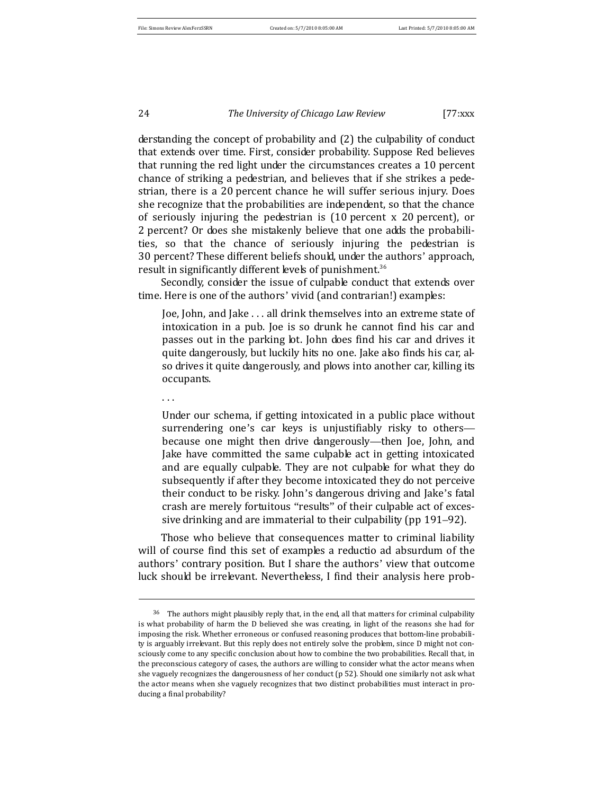derstanding the concept of probability and (2) the culpability of conduct that extends over time. First, consider probability. Suppose Red believes that running the red light under the circumstances creates a 10 percent chance of striking a pedestrian, and believes that if she strikes a pede‐ strian, there is a 20 percent chance he will suffer serious injury. Does she recognize that the probabilities are independent, so that the chance of seriously injuring the pedestrian is (10 percent x 20 percent), or 2 percent? Or does she mistakenly believe that one adds the probabili‐ ties, so that the chance of seriously injuring the pedestrian is 30 percent? These different beliefs should, under the authors' approach, result in significantly different levels of punishment.36

Secondly, consider the issue of culpable conduct that extends over time. Here is one of the authors' vivid (and contrarian!) examples:

Joe, John, and Jake . . . all drink themselves into an extreme state of intoxication in a pub. Joe is so drunk he cannot find his car and passes out in the parking lot. John does find his car and drives it quite dangerously, but luckily hits no one. Jake also finds his car, al‐ so drives it quite dangerously, and plows into another car, killing its occupants.

. . .

Under our schema, if getting intoxicated in a public place without surrendering one's car keys is unjustifiably risky to others because one might then drive dangerously—then Joe, John, and Jake have committed the same culpable act in getting intoxicated and are equally culpable. They are not culpable for what they do subsequently if after they become intoxicated they do not perceive their conduct to be risky. John's dangerous driving and Jake's fatal crash are merely fortuitous "results" of their culpable act of excessive drinking and are immaterial to their culpability (pp 191–92).

Those who believe that consequences matter to criminal liability will of course find this set of examples a reductio ad absurdum of the authors' contrary position. But I share the authors' view that outcome luck should be irrelevant. Nevertheless, I find their analysis here prob‐

<sup>&</sup>lt;sup>36</sup> The authors might plausibly reply that, in the end, all that matters for criminal culpability is what probability of harm the D believed she was creating, in light of the reasons she had for imposing the risk. Whether erroneous or confused reasoning produces that bottom-line probability is arguably irrelevant. But this reply does not entirely solve the problem, since D might not consciously come to any specific conclusion about how to combine the two probabilities. Recall that, in the preconscious category of cases, the authors are willing to consider what the actor means when she vaguely recognizes the dangerousness of her conduct (p 52). Should one similarly not ask what the actor means when she vaguely recognizes that two distinct probabilities must interact in producing a final probability?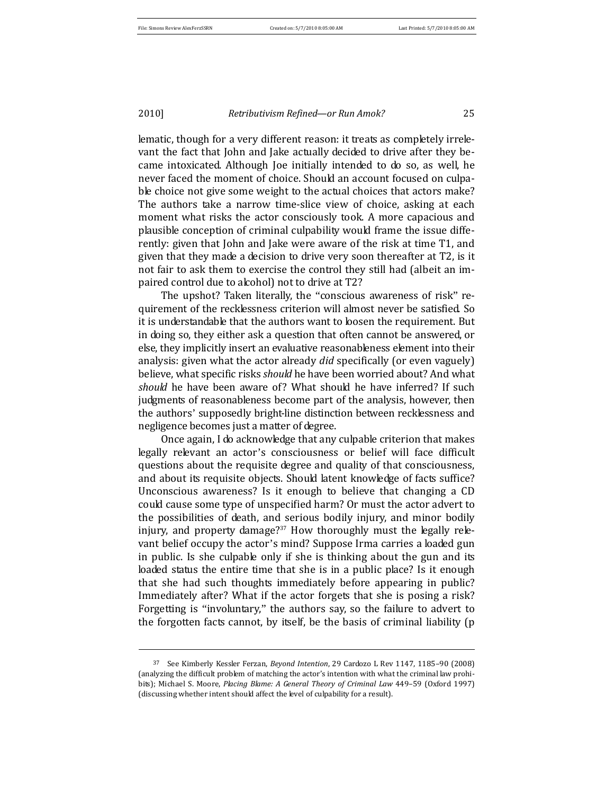lematic, though for a very different reason: it treats as completely irrelevant the fact that John and Jake actually decided to drive after they became intoxicated. Although Joe initially intended to do so, as well, he never faced the moment of choice. Should an account focused on culpa‐ ble choice not give some weight to the actual choices that actors make? The authors take a narrow time-slice view of choice, asking at each moment what risks the actor consciously took. A more capacious and plausible conception of criminal culpability would frame the issue differently: given that John and Jake were aware of the risk at time T1, and given that they made a decision to drive very soon thereafter at T2, is it not fair to ask them to exercise the control they still had (albeit an im‐ paired control due to alcohol) not to drive at T2?

The upshot? Taken literally, the "conscious awareness of risk" requirement of the recklessness criterion will almost never be satisfied. So it is understandable that the authors want to loosen the requirement. But in doing so, they either ask a question that often cannot be answered, or else, they implicitly insert an evaluative reasonableness element into their analysis: given what the actor already *did* specifically (or even vaguely) believe, what specific risks *should* he have been worried about? And what *should* he have been aware of? What should he have inferred? If such judgments of reasonableness become part of the analysis, however, then the authors' supposedly bright‐line distinction between recklessness and negligence becomes just a matter of degree.

Once again, I do acknowledge that any culpable criterion that makes legally relevant an actor's consciousness or belief will face difficult questions about the requisite degree and quality of that consciousness, and about its requisite objects. Should latent knowledge of facts suffice? Unconscious awareness? Is it enough to believe that changing a CD could cause some type of unspecified harm? Or must the actor advert to the possibilities of death, and serious bodily injury, and minor bodily injury, and property damage?<sup>37</sup> How thoroughly must the legally relevant belief occupy the actor's mind? Suppose Irma carries a loaded gun in public. Is she culpable only if she is thinking about the gun and its loaded status the entire time that she is in a public place? Is it enough that she had such thoughts immediately before appearing in public? Immediately after? What if the actor forgets that she is posing a risk? Forgetting is "involuntary," the authors say, so the failure to advert to the forgotten facts cannot, by itself, be the basis of criminal liability (p

<sup>37</sup> See Kimberly Kessler Ferzan, *Beyond Intention*, 29 Cardozo L Rev 1147, 1185–90 (2008) (analyzing the difficult problem of matching the actor's intention with what the criminal law prohi‐ bits); Michael S. Moore, *Placing Blame: A General Theory of Criminal Law* 449–59 (Oxford 1997) (discussing whether intent should affect the level of culpability for a result).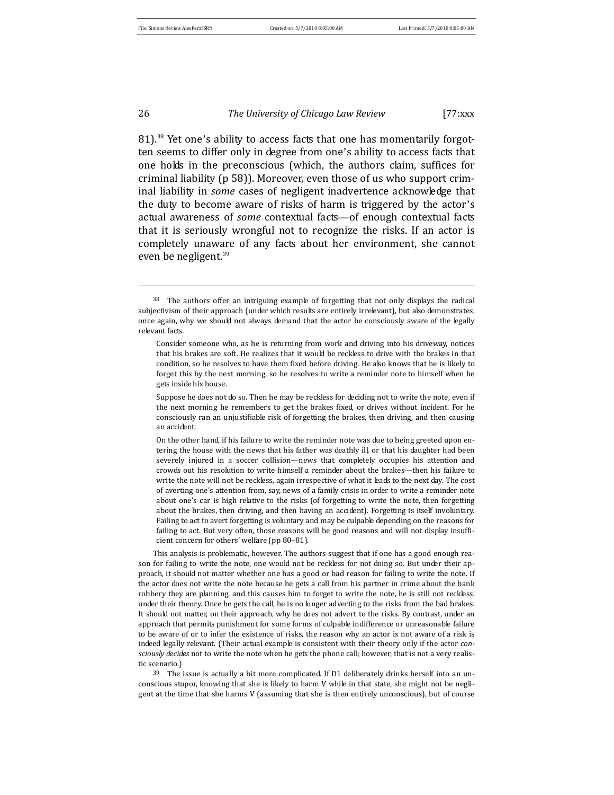81).<sup>38</sup> Yet one's ability to access facts that one has momentarily forgotten seems to differ only in degree from one's ability to access facts that one holds in the preconscious (which, the authors claim, suffices for criminal liability (p 58)). Moreover, even those of us who support crim‐ inal liability in *some* cases of negligent inadvertence acknowledge that the duty to become aware of risks of harm is triggered by the actor's actual awareness of *some* contextual facts—of enough contextual facts that it is seriously wrongful not to recognize the risks. If an actor is completely unaware of any facts about her environment, she cannot even be negligent.39

On the other hand, if his failure to write the reminder note was due to being greeted upon entering the house with the news that his father was deathly ill, or that his daughter had been severely injured in a soccer collision—news that completely occupies his attention and crowds out his resolution to write himself a reminder about the brakes—then his failure to write the note will not be reckless, again irrespective of what it leads to the next day. The cost of averting one's attention from, say, news of a family crisis in order to write a reminder note about one's car is high relative to the risks (of forgetting to write the note, then forgetting about the brakes, then driving, and then having an accident). Forgetting is itself involuntary. Failing to act to avert forgetting is voluntary and may be culpable depending on the reasons for failing to act. But very often, those reasons will be good reasons and will not display insufficient concern for others' welfare (pp 80–81).

This analysis is problematic, however. The authors suggest that if one has a good enough reason for failing to write the note, one would not be reckless for not doing so. But under their approach, it should not matter whether one has a good or bad reason for failing to write the note. If the actor does not write the note because he gets a call from his partner in crime about the bank robbery they are planning, and this causes him to forget to write the note, he is still not reckless, under their theory. Once he gets the call, he is no longer adverting to the risks from the bad brakes. It should not matter, on their approach, why he does not advert to the risks. By contrast, under an approach that permits punishment for some forms of culpable indifference or unreasonable failure to be aware of or to infer the existence of risks, the reason why an actor is not aware of a risk is indeed legally relevant. (Their actual example is consistent with their theory only if the actor *consciously decides* not to write the note when he gets the phone call; however, that is not a very realis‐ tic scenario.)

 $39$  The issue is actually a bit more complicated. If D1 deliberately drinks herself into an unconscious stupor, knowing that she is likely to harm V while in that state, she might not be negligent at the time that she harms V (assuming that she is then entirely unconscious), but of course

<sup>&</sup>lt;sup>38</sup> The authors offer an intriguing example of forgetting that not only displays the radical subjectivism of their approach (under which results are entirely irrelevant), but also demonstrates, once again, why we should not always demand that the actor be consciously aware of the legally relevant facts.

Consider someone who, as he is returning from work and driving into his driveway, notices that his brakes are soft. He realizes that it would be reckless to drive with the brakes in that condition, so he resolves to have them fixed before driving. He also knows that he is likely to forget this by the next morning, so he resolves to write a reminder note to himself when he gets inside his house.

Suppose he does not do so. Then he may be reckless for deciding not to write the note, even if the next morning he remembers to get the brakes fixed, or drives without incident. For he consciously ran an unjustifiable risk of forgetting the brakes, then driving, and then causing an accident.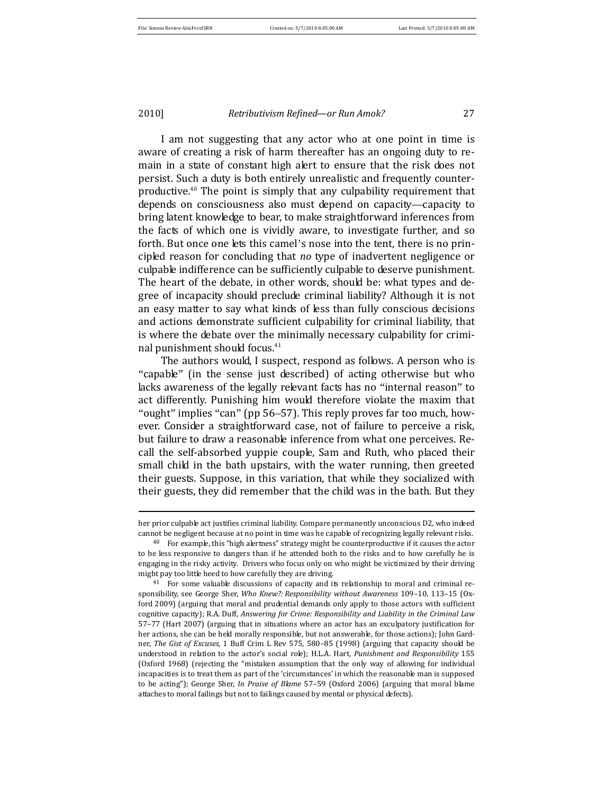i.

#### 2010] *Retributivism Refined—or Run Amok?* 27

I am not suggesting that any actor who at one point in time is aware of creating a risk of harm thereafter has an ongoing duty to re‐ main in a state of constant high alert to ensure that the risk does not persist. Such a duty is both entirely unrealistic and frequently counter‐ productive.40 The point is simply that any culpability requirement that depends on consciousness also must depend on capacity—capacity to bring latent knowledge to bear, to make straightforward inferences from the facts of which one is vividly aware, to investigate further, and so forth. But once one lets this camel's nose into the tent, there is no principled reason for concluding that *no* type of inadvertent negligence or culpable indifference can be sufficiently culpable to deserve punishment. The heart of the debate, in other words, should be: what types and degree of incapacity should preclude criminal liability? Although it is not an easy matter to say what kinds of less than fully conscious decisions and actions demonstrate sufficient culpability for criminal liability, that is where the debate over the minimally necessary culpability for crimi‐ nal punishment should focus.<sup>41</sup>

The authors would, I suspect, respond as follows. A person who is "capable" (in the sense just described) of acting otherwise but who lacks awareness of the legally relevant facts has no "internal reason" to act differently. Punishing him would therefore violate the maxim that "ought" implies "can" (pp 56–57). This reply proves far too much, how‐ ever. Consider a straightforward case, not of failure to perceive a risk, but failure to draw a reasonable inference from what one perceives. Re‐ call the self‐absorbed yuppie couple, Sam and Ruth, who placed their small child in the bath upstairs, with the water running, then greeted their guests. Suppose, in this variation, that while they socialized with their guests, they did remember that the child was in the bath. But they

her prior culpable act justifies criminal liability. Compare permanently unconscious D2, who indeed cannot be negligent because at no point in time was he capable of recognizing legally relevant risks.

<sup>&</sup>lt;sup>40</sup> For example, this "high alertness" strategy might be counterproductive if it causes the actor to be less responsive to dangers than if he attended both to the risks and to how carefully he is engaging in the risky activity. Drivers who focus only on who might be victimized by their driving might pay too little heed to how carefully they are driving.

<sup>&</sup>lt;sup>41</sup> For some valuable discussions of capacity and its relationship to moral and criminal responsibility, see George Sher, *Who Knew?: Responsibility without Awareness* 109–10, 113–15 (Ox‐ ford 2009) (arguing that moral and prudential demands only apply to those actors with sufficient cognitive capacity); R.A. Duff, *Answering for Crime: Responsibility and Liability in the Criminal Law* 57–77 (Hart 2007) (arguing that in situations where an actor has an exculpatory justification for her actions, she can be held morally responsible, but not answerable, for those actions); John Gardner, *The Gist of Excuses*, 1 Buff Crim L Rev 575, 580–85 (1998) (arguing that capacity should be understood in relation to the actor's social role); H.L.A. Hart, *Punishment and Responsibility* 155 (Oxford 1968) (rejecting the "mistaken assumption that the only way of allowing for individual incapacities is to treat them as part of the 'circumstances' in which the reasonable man is supposed to be acting"); George Sher, *In Praise of Blame* 57–59 (Oxford 2006) (arguing that moral blame attaches to moral failings but not to failings caused by mental or physical defects).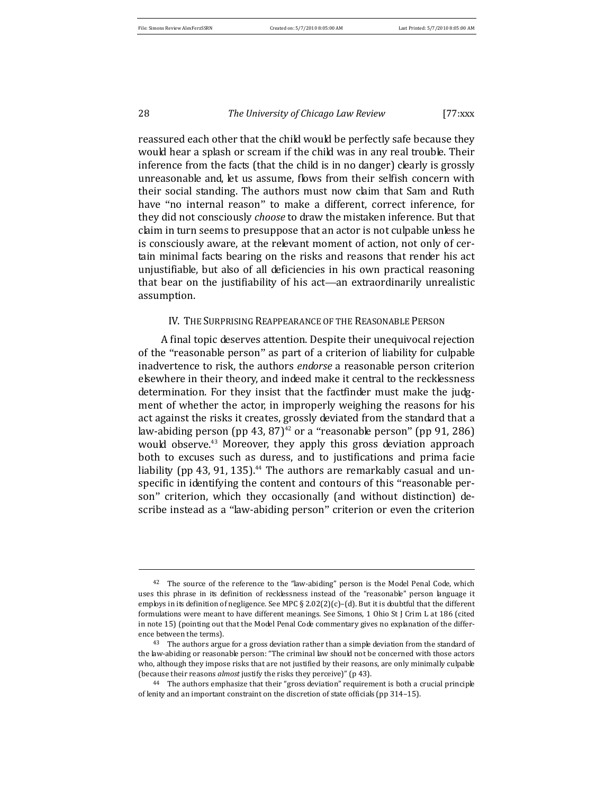reassured each other that the child would be perfectly safe because they would hear a splash or scream if the child was in any real trouble. Their inference from the facts (that the child is in no danger) clearly is grossly unreasonable and, let us assume, flows from their selfish concern with their social standing. The authors must now claim that Sam and Ruth have "no internal reason" to make a different, correct inference, for they did not consciously *choose* to draw the mistaken inference. But that claim in turn seems to presuppose that an actor is not culpable unless he is consciously aware, at the relevant moment of action, not only of cer‐ tain minimal facts bearing on the risks and reasons that render his act unjustifiable, but also of all deficiencies in his own practical reasoning that bear on the justifiability of his act—an extraordinarily unrealistic assumption.

#### IV. THE SURPRISING REAPPEARANCE OF THE REASONABLE PERSON

A final topic deserves attention. Despite their unequivocal rejection of the "reasonable person" as part of a criterion of liability for culpable inadvertence to risk, the authors *endorse* a reasonable person criterion elsewhere in their theory, and indeed make it central to the recklessness determination. For they insist that the factfinder must make the judgment of whether the actor, in improperly weighing the reasons for his act against the risks it creates, grossly deviated from the standard that a law-abiding person (pp 43,  $87)^{42}$  or a "reasonable person" (pp 91, 286) would observe.<sup>43</sup> Moreover, they apply this gross deviation approach both to excuses such as duress, and to justifications and prima facie liability (pp 43, 91, 135). $44$  The authors are remarkably casual and unspecific in identifying the content and contours of this "reasonable person" criterion, which they occasionally (and without distinction) describe instead as a "law‐abiding person" criterion or even the criterion

<sup>42</sup> The source of the reference to the "law-abiding" person is the Model Penal Code, which uses this phrase in its definition of recklessness instead of the "reasonable" person language it employs in its definition of negligence. See MPC § 2.02(2)(c)–(d). But it is doubtful that the different formulations were meant to have different meanings. See Simons, 1 Ohio St J Crim L at 186 (cited in note 15) (pointing out that the Model Penal Code commentary gives no explanation of the difference between the terms).

<sup>&</sup>lt;sup>43</sup> The authors argue for a gross deviation rather than a simple deviation from the standard of the law‐abiding or reasonable person: "The criminal law should not be concerned with those actors who, although they impose risks that are not justified by their reasons, are only minimally culpable (because their reasons *almost* justify the risks they perceive)" (p 43).

<sup>&</sup>lt;sup>44</sup> The authors emphasize that their "gross deviation" requirement is both a crucial principle of lenity and an important constraint on the discretion of state officials (pp 314–15).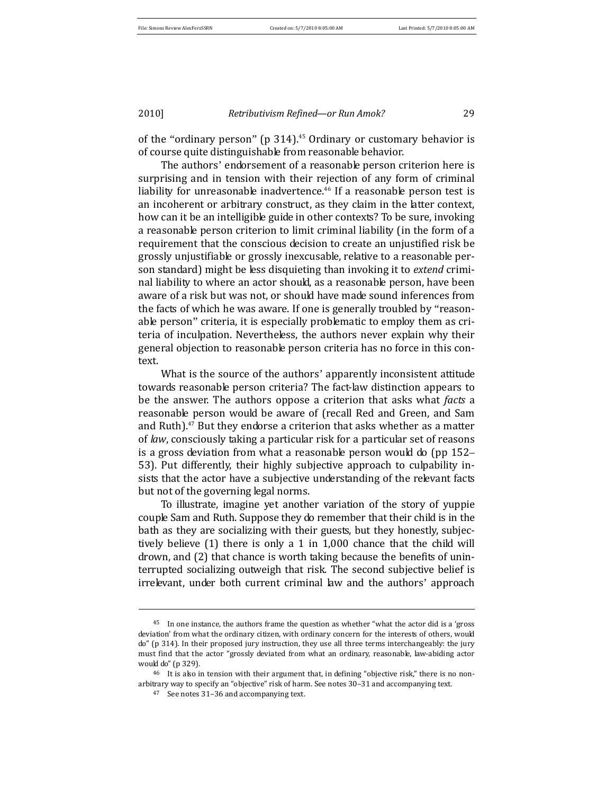of the "ordinary person" (p  $314$ ).<sup>45</sup> Ordinary or customary behavior is of course quite distinguishable from reasonable behavior.

The authors' endorsement of a reasonable person criterion here is surprising and in tension with their rejection of any form of criminal liability for unreasonable inadvertence.<sup>46</sup> If a reasonable person test is an incoherent or arbitrary construct, as they claim in the latter context, how can it be an intelligible guide in other contexts? To be sure, invoking a reasonable person criterion to limit criminal liability (in the form of a requirement that the conscious decision to create an unjustified risk be grossly unjustifiable or grossly inexcusable, relative to a reasonable per‐ son standard) might be less disquieting than invoking it to *extend* crimi‐ nal liability to where an actor should, as a reasonable person, have been aware of a risk but was not, or should have made sound inferences from the facts of which he was aware. If one is generally troubled by "reasonable person" criteria, it is especially problematic to employ them as cri‐ teria of inculpation. Nevertheless, the authors never explain why their general objection to reasonable person criteria has no force in this con‐ text.

What is the source of the authors' apparently inconsistent attitude towards reasonable person criteria? The fact‐law distinction appears to be the answer. The authors oppose a criterion that asks what *facts* a reasonable person would be aware of (recall Red and Green, and Sam and Ruth).47 But they endorse a criterion that asks whether as a matter of *law*, consciously taking a particular risk for a particular set of reasons is a gross deviation from what a reasonable person would do (pp 152– 53). Put differently, their highly subjective approach to culpability in‐ sists that the actor have a subjective understanding of the relevant facts but not of the governing legal norms.

To illustrate, imagine yet another variation of the story of yuppie couple Sam and Ruth. Suppose they do remember that their child is in the bath as they are socializing with their guests, but they honestly, subjectively believe (1) there is only a 1 in 1,000 chance that the child will drown, and (2) that chance is worth taking because the benefits of unin‐ terrupted socializing outweigh that risk. The second subjective belief is irrelevant, under both current criminal law and the authors' approach

<u> 1989 - Andrea Stadt Britain, amerikansk politik (d. 1989)</u>

<sup>45</sup> In one instance, the authors frame the question as whether "what the actor did is a 'gross deviation' from what the ordinary citizen, with ordinary concern for the interests of others, would do" (p 314). In their proposed jury instruction, they use all three terms interchangeably: the jury must find that the actor "grossly deviated from what an ordinary, reasonable, law-abiding actor would do" (p 329).

<sup>&</sup>lt;sup>46</sup> It is also in tension with their argument that, in defining "objective risk," there is no nonarbitrary way to specify an "objective" risk of harm. See notes 30–31 and accompanying text.

<sup>47</sup> See notes 31–36 and accompanying text.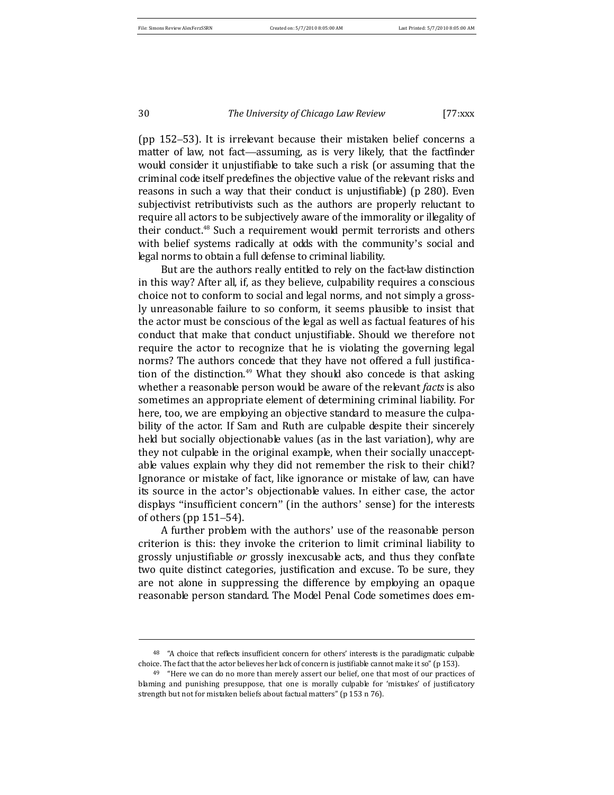(pp 152–53). It is irrelevant because their mistaken belief concerns a matter of law, not fact—assuming, as is very likely, that the factfinder would consider it unjustifiable to take such a risk (or assuming that the criminal code itself predefines the objective value of the relevant risks and reasons in such a way that their conduct is unjustifiable) (p 280). Even subjectivist retributivists such as the authors are properly reluctant to require all actors to be subjectively aware of the immorality or illegality of their conduct.<sup>48</sup> Such a requirement would permit terrorists and others with belief systems radically at odds with the community's social and legal norms to obtain a full defense to criminal liability.

But are the authors really entitled to rely on the fact‐law distinction in this way? After all, if, as they believe, culpability requires a conscious choice not to conform to social and legal norms, and not simply a gross‐ ly unreasonable failure to so conform, it seems plausible to insist that the actor must be conscious of the legal as well as factual features of his conduct that make that conduct unjustifiable. Should we therefore not require the actor to recognize that he is violating the governing legal norms? The authors concede that they have not offered a full justification of the distinction.<sup>49</sup> What they should also concede is that asking whether a reasonable person would be aware of the relevant *facts* is also sometimes an appropriate element of determining criminal liability. For here, too, we are employing an objective standard to measure the culpability of the actor. If Sam and Ruth are culpable despite their sincerely held but socially objectionable values (as in the last variation), why are they not culpable in the original example, when their socially unacceptable values explain why they did not remember the risk to their child? Ignorance or mistake of fact, like ignorance or mistake of law, can have its source in the actor's objectionable values. In either case, the actor displays "insufficient concern" (in the authors' sense) for the interests of others (pp 151–54).

A further problem with the authors' use of the reasonable person criterion is this: they invoke the criterion to limit criminal liability to grossly unjustifiable *or* grossly inexcusable acts, and thus they conflate two quite distinct categories, justification and excuse. To be sure, they are not alone in suppressing the difference by employing an opaque reasonable person standard. The Model Penal Code sometimes does em‐

<u> 1989 - Andrea Stadt Britain, amerikansk politik (d. 1989)</u>

<sup>48 &</sup>quot;A choice that reflects insufficient concern for others' interests is the paradigmatic culpable choice. The fact that the actor believes her lack of concern is justifiable cannot make it so" (p 153).

<sup>&</sup>lt;sup>49</sup> "Here we can do no more than merely assert our belief, one that most of our practices of blaming and punishing presuppose, that one is morally culpable for 'mistakes' of justificatory strength but not for mistaken beliefs about factual matters" (p 153 n 76).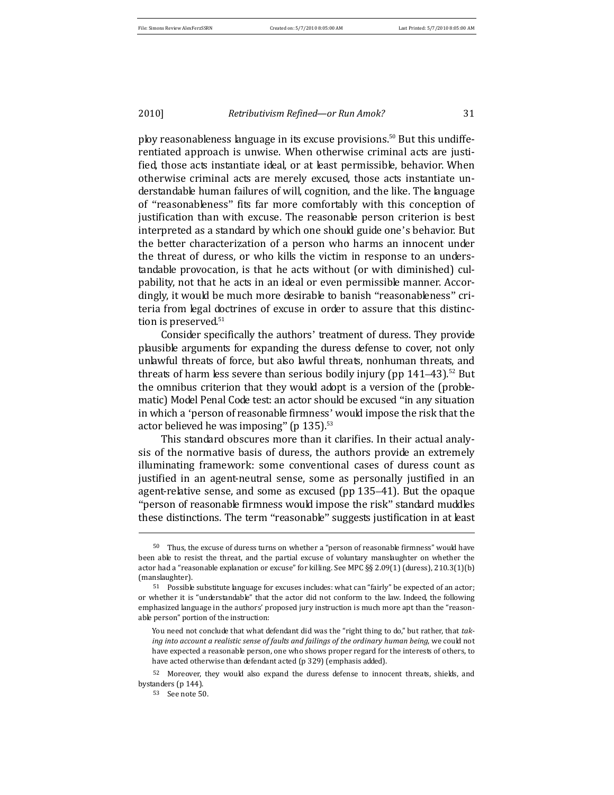ploy reasonableness language in its excuse provisions.<sup>50</sup> But this undifferentiated approach is unwise. When otherwise criminal acts are justified, those acts instantiate ideal, or at least permissible, behavior. When otherwise criminal acts are merely excused, those acts instantiate un‐ derstandable human failures of will, cognition, and the like. The language of "reasonableness" fits far more comfortably with this conception of justification than with excuse. The reasonable person criterion is best interpreted as a standard by which one should guide one's behavior. But the better characterization of a person who harms an innocent under the threat of duress, or who kills the victim in response to an understandable provocation, is that he acts without (or with diminished) cul‐ pability, not that he acts in an ideal or even permissible manner. Accordingly, it would be much more desirable to banish "reasonableness" cri‐ teria from legal doctrines of excuse in order to assure that this distinction is preserved.<sup>51</sup>

Consider specifically the authors' treatment of duress. They provide plausible arguments for expanding the duress defense to cover, not only unlawful threats of force, but also lawful threats, nonhuman threats, and threats of harm less severe than serious bodily injury (pp  $141-43$ ).<sup>52</sup> But the omnibus criterion that they would adopt is a version of the (proble‐ matic) Model Penal Code test: an actor should be excused "in any situation in which a 'person of reasonable firmness' would impose the risk that the actor believed he was imposing" (p  $135$ ).<sup>53</sup>

This standard obscures more than it clarifies. In their actual analy‐ sis of the normative basis of duress, the authors provide an extremely illuminating framework: some conventional cases of duress count as justified in an agent‐neutral sense, some as personally justified in an agent-relative sense, and some as excused (pp 135–41). But the opaque "person of reasonable firmness would impose the risk" standard muddles these distinctions. The term "reasonable" suggests justification in at least

<sup>&</sup>lt;sup>50</sup> Thus, the excuse of duress turns on whether a "person of reasonable firmness" would have been able to resist the threat, and the partial excuse of voluntary manslaughter on whether the actor had a "reasonable explanation or excuse" for killing. See MPC §§ 2.09(1) (duress), 210.3(1)(b) (manslaughter).

<sup>51</sup> Possible substitute language for excuses includes: what can "fairly" be expected of an actor; or whether it is "understandable" that the actor did not conform to the law. Indeed, the following emphasized language in the authors' proposed jury instruction is much more apt than the "reasonable person" portion of the instruction:

You need not conclude that what defendant did was the "right thing to do," but rather, that *taking into account a realistic sense of faults and failings of the ordinary human being*, we could not have expected a reasonable person, one who shows proper regard for the interests of others, to have acted otherwise than defendant acted (p 329) (emphasis added).

<sup>52</sup> Moreover, they would also expand the duress defense to innocent threats, shields, and bystanders (p 144).

<sup>53</sup> See note 50.